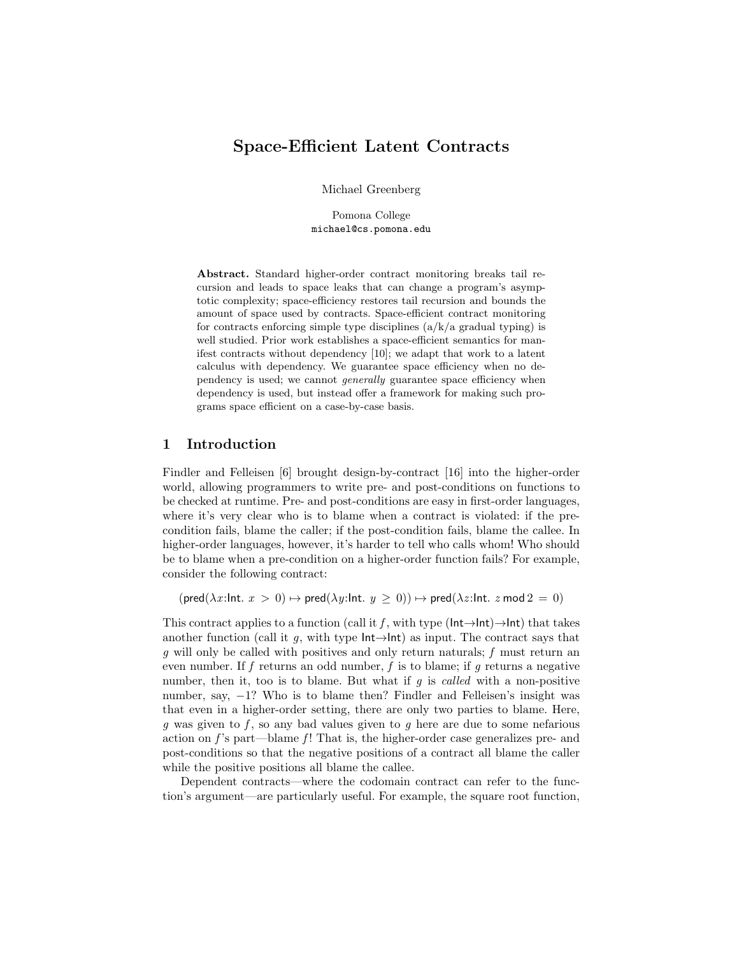# Space-Efficient Latent Contracts

Michael Greenberg

Pomona College michael@cs.pomona.edu

Abstract. Standard higher-order contract monitoring breaks tail recursion and leads to space leaks that can change a program's asymptotic complexity; space-efficiency restores tail recursion and bounds the amount of space used by contracts. Space-efficient contract monitoring for contracts enforcing simple type disciplines  $(a/k/a)$  gradual typing) is well studied. Prior work establishes a space-efficient semantics for manifest contracts without dependency [\[10\]](#page-19-0); we adapt that work to a latent calculus with dependency. We guarantee space efficiency when no dependency is used; we cannot generally guarantee space efficiency when dependency is used, but instead offer a framework for making such programs space efficient on a case-by-case basis.

# 1 Introduction

Findler and Felleisen [\[6\]](#page-18-0) brought design-by-contract [\[16\]](#page-19-1) into the higher-order world, allowing programmers to write pre- and post-conditions on functions to be checked at runtime. Pre- and post-conditions are easy in first-order languages, where it's very clear who is to blame when a contract is violated: if the precondition fails, blame the caller; if the post-condition fails, blame the callee. In higher-order languages, however, it's harder to tell who calls whom! Who should be to blame when a pre-condition on a higher-order function fails? For example, consider the following contract:

 $(\text{pred}(\lambda x:\text{Int. } x > 0) \mapsto \text{pred}(\lambda y:\text{Int. } y \ge 0)) \mapsto \text{pred}(\lambda z:\text{Int. } z \text{ mod } 2 = 0)$ 

This contract applies to a function (call it f, with type  $(\mathsf{Int}\rightarrow\mathsf{Int})\rightarrow\mathsf{Int})$  that takes another function (call it g, with type  $Int\rightarrow Int$ ) as input. The contract says that g will only be called with positives and only return naturals; f must return an even number. If f returns an odd number, f is to blame; if g returns a negative number, then it, too is to blame. But what if  $q$  is called with a non-positive number, say, −1? Who is to blame then? Findler and Felleisen's insight was that even in a higher-order setting, there are only two parties to blame. Here, g was given to f, so any bad values given to g here are due to some nefarious action on  $f$ 's part—blame  $f$ ! That is, the higher-order case generalizes pre- and post-conditions so that the negative positions of a contract all blame the caller while the positive positions all blame the callee.

Dependent contracts—where the codomain contract can refer to the function's argument—are particularly useful. For example, the square root function,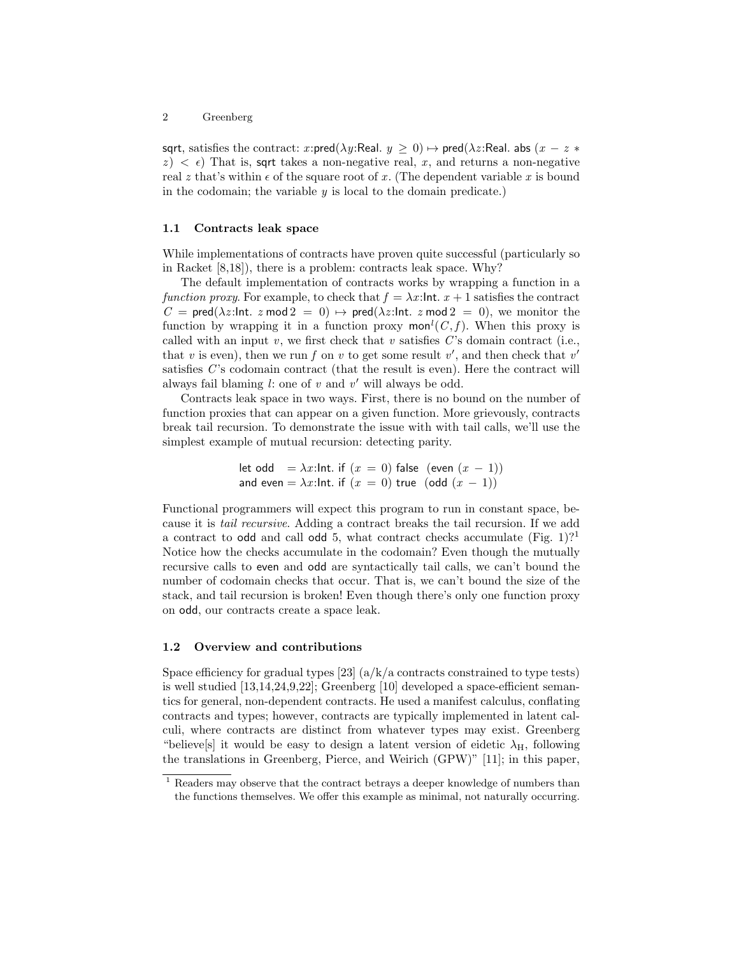sqrt, satisfies the contract: x:pred( $\lambda y$ :Real.  $y \ge 0$ )  $\mapsto$  pred( $\lambda z$ :Real. abs (x - z \*  $z$   $\langle \epsilon \rangle$  That is, sqrt takes a non-negative real, x, and returns a non-negative real z that's within  $\epsilon$  of the square root of x. (The dependent variable x is bound in the codomain; the variable  $y$  is local to the domain predicate.)

#### 1.1 Contracts leak space

While implementations of contracts have proven quite successful (particularly so in Racket [\[8](#page-19-2)[,18\]](#page-19-3)), there is a problem: contracts leak space. Why?

The default implementation of contracts works by wrapping a function in a function proxy. For example, to check that  $f = \lambda x$ : Int.  $x + 1$  satisfies the contract  $C = \text{pred}(\lambda z:\text{Int. } z \mod 2 = 0) \mapsto \text{pred}(\lambda z:\text{Int. } z \mod 2 = 0)$ , we monitor the function by wrapping it in a function proxy mon<sup>l</sup> $(C, f)$ . When this proxy is called with an input v, we first check that v satisfies  $C$ 's domain contract (i.e., that v is even), then we run f on v to get some result v', and then check that  $v'$ satisfies  $C$ 's codomain contract (that the result is even). Here the contract will always fail blaming  $l$ : one of  $v$  and  $v'$  will always be odd.

Contracts leak space in two ways. First, there is no bound on the number of function proxies that can appear on a given function. More grievously, contracts break tail recursion. To demonstrate the issue with with tail calls, we'll use the simplest example of mutual recursion: detecting parity.

let odd = 
$$
\lambda x
$$
:Int. if  $(x = 0)$  false (even  $(x - 1)$ )  
and even =  $\lambda x$ :Int. if  $(x = 0)$  true (odd  $(x - 1)$ )

Functional programmers will expect this program to run in constant space, because it is tail recursive. Adding a contract breaks the tail recursion. If we add a contract to odd and call odd 5, what contract checks accumulate (Fig. [1\)](#page-2-0)?<sup>[1](#page-1-0)</sup> Notice how the checks accumulate in the codomain? Even though the mutually recursive calls to even and odd are syntactically tail calls, we can't bound the number of codomain checks that occur. That is, we can't bound the size of the stack, and tail recursion is broken! Even though there's only one function proxy on odd, our contracts create a space leak.

#### 1.2 Overview and contributions

Space efficiency for gradual types  $[23]$  (a/k/a contracts constrained to type tests) is well studied [\[13,](#page-19-5)[14,](#page-19-6)[24](#page-19-7)[,9,](#page-19-8)[22\]](#page-19-9); Greenberg [\[10\]](#page-19-0) developed a space-efficient semantics for general, non-dependent contracts. He used a manifest calculus, conflating contracts and types; however, contracts are typically implemented in latent calculi, where contracts are distinct from whatever types may exist. Greenberg "believe[s] it would be easy to design a latent version of eidetic  $\lambda_{H}$ , following the translations in Greenberg, Pierce, and Weirich (GPW)" [\[11\]](#page-19-10); in this paper,

<span id="page-1-0"></span> $1$  Readers may observe that the contract betrays a deeper knowledge of numbers than the functions themselves. We offer this example as minimal, not naturally occurring.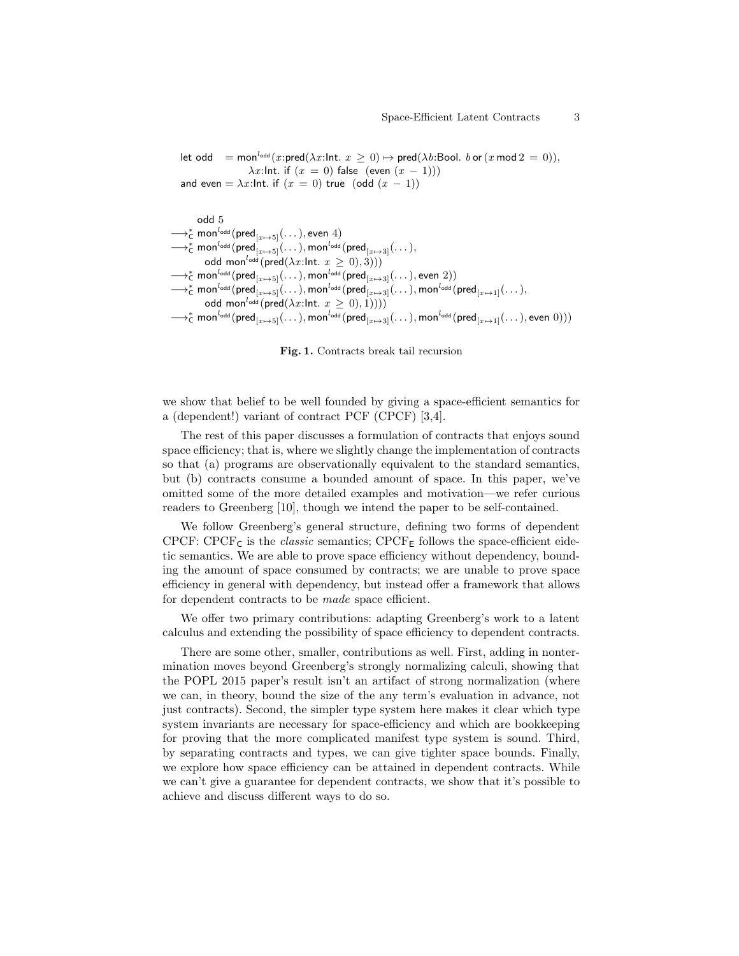let odd = mon<sup>lodd</sup> (x:pred( $\lambda x$ :lnt.  $x \ge 0$ )  $\mapsto$  pred( $\lambda b$ :Bool. b or (x mod 2 = 0)),  $\lambda x$ :Int. if  $(x = 0)$  false (even  $(x - 1)$ )) and even =  $\lambda x$ :Int. if  $(x = 0)$  true (odd  $(x - 1)$ )

```
odd 5
\longrightarrow_{\mathsf{C}}^* mon<sup>l</sup><sup>odd</sup> (pred<sub>[x→5]</sub>(...), even 4)
\longrightarrow_{\mathsf{C}}^* \mathsf{mon}^{l_{\mathsf{odd}}}(\mathsf{pred}_{\lceil x \mapsto 5 \rceil}(\dots), \mathsf{mon}^{l_{\mathsf{odd}}}(\mathsf{pred}_{\lceil x \mapsto 3 \rceil}(\dots),odd mon<sup>l</sup><sup>odd</sup> (pred(\lambda x:Int. x \geq 0, 3))
\longrightarrow_\mathsf{C}^* mon{}^{l_\mathsf{odd}}(\mathsf{pred}_{\lceil x\mapsto 5\rceil}(\dots),\mathsf{mon}{}^{l_\mathsf{odd}}(\mathsf{pred}_{\lceil x\mapsto 3\rceil}(\dots),\mathsf{even}\,\,2))\longrightarrow^*_\mathsf{C} \mathsf{mon}^{l_\mathsf{odd}}(\mathsf{pred}_{\lceil x \mapsto 5 \rceil}(\dots), \mathsf{mon}^{l_\mathsf{odd}}(\mathsf{pred}_{\lceil x \mapsto 3 \rceil}(\dots), \mathsf{mon}^{l_\mathsf{odd}}(\mathsf{pred}_{\lceil x \mapsto 1 \rceil}(\dots),odd mon<sup>l<sub>odd</sub> (pred(\lambda x:Int. x \geq 0, 1))))</sup>
\longrightarrow^*_\mathsf{C} mon{}^{l_\mathsf{odd}}(\mathsf{pred}_{[x\mapsto 5]}(\dots), \mathsf{mon}^{l_\mathsf{odd}}(\mathsf{pred}_{[x\mapsto 3]}(\dots), \mathsf{mon}^{l_\mathsf{odd}}(\mathsf{pred}_{[x\mapsto 1]}(\dots), \mathsf{even}\;0)))
```
<span id="page-2-0"></span>Fig. 1. Contracts break tail recursion

we show that belief to be well founded by giving a space-efficient semantics for a (dependent!) variant of contract PCF (CPCF) [\[3,](#page-18-1)[4\]](#page-18-2).

The rest of this paper discusses a formulation of contracts that enjoys sound space efficiency; that is, where we slightly change the implementation of contracts so that (a) programs are observationally equivalent to the standard semantics, but (b) contracts consume a bounded amount of space. In this paper, we've omitted some of the more detailed examples and motivation—we refer curious readers to Greenberg [\[10\]](#page-19-0), though we intend the paper to be self-contained.

We follow Greenberg's general structure, defining two forms of dependent CPCF: CPCF<sub>C</sub> is the *classic* semantics; CPCF<sub>E</sub> follows the space-efficient eidetic semantics. We are able to prove space efficiency without dependency, bounding the amount of space consumed by contracts; we are unable to prove space efficiency in general with dependency, but instead offer a framework that allows for dependent contracts to be made space efficient.

We offer two primary contributions: adapting Greenberg's work to a latent calculus and extending the possibility of space efficiency to dependent contracts.

There are some other, smaller, contributions as well. First, adding in nontermination moves beyond Greenberg's strongly normalizing calculi, showing that the POPL 2015 paper's result isn't an artifact of strong normalization (where we can, in theory, bound the size of the any term's evaluation in advance, not just contracts). Second, the simpler type system here makes it clear which type system invariants are necessary for space-efficiency and which are bookkeeping for proving that the more complicated manifest type system is sound. Third, by separating contracts and types, we can give tighter space bounds. Finally, we explore how space efficiency can be attained in dependent contracts. While we can't give a guarantee for dependent contracts, we show that it's possible to achieve and discuss different ways to do so.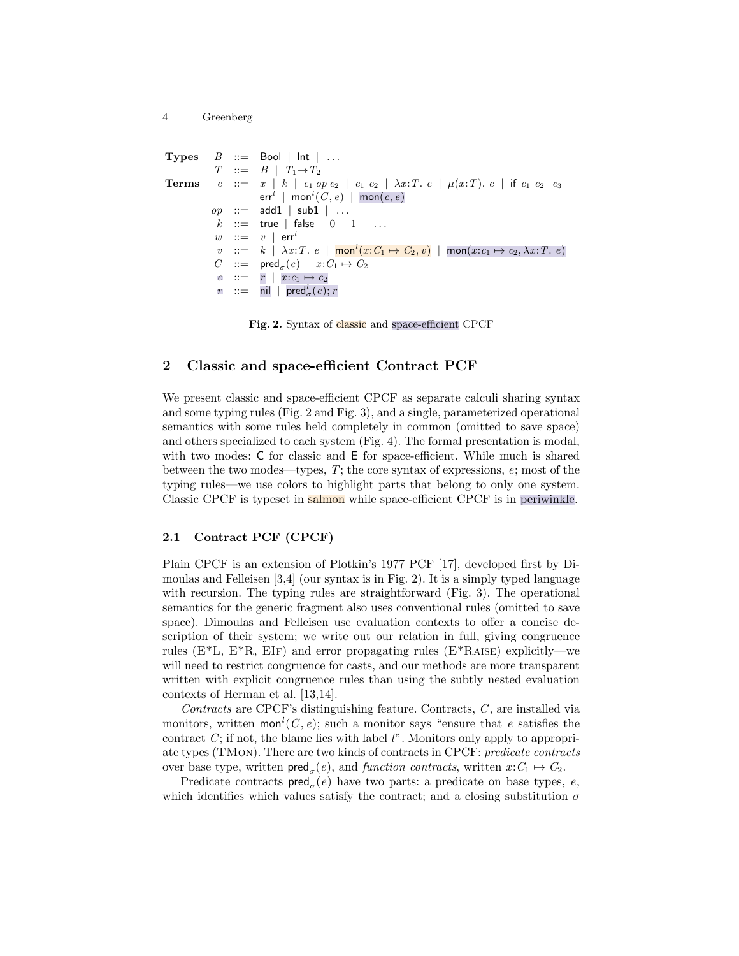```
Types B ::= Bool | Int | ...
              T ::= B | T_1 \rightarrow T_2Terms e ::= x | k | e_1 op e_2 | e_1 e_2 | \lambda x: T. e | \mu(x). e | if e_1 e_2 e_3 |err<sup>l</sup>\mid \ \mathsf{mon}^{\mathit{l}}(\mathit{C},e) \ \mid \ \mathsf{mon}(\mathit{c},e)op ::= add1 | sub1 | ...k ::= true | false | 0 | 1 | ...
              w ::= v | err<sup>l</sup>
               v ::= k | \lambda x: T. e | \text{mon}^l(x; C_1 \mapsto C_2, v) | \text{mon}(x; c_1 \mapsto c_2, \lambda x: T. e)
              C ::= \text{pred}_{\sigma}(e) \mid x:C_1 \mapsto C_2c ::= r | x : c_1 \mapsto c_2r : = nil | pred^l_{\sigma}(e); r
```
<span id="page-3-0"></span>Fig. 2. Syntax of classic and space-efficient CPCF

# 2 Classic and space-efficient Contract PCF

We present classic and space-efficient CPCF as separate calculi sharing syntax and some typing rules (Fig. [2](#page-3-0) and Fig. [3\)](#page-5-0), and a single, parameterized operational semantics with some rules held completely in common (omitted to save space) and others specialized to each system (Fig. [4\)](#page-6-0). The formal presentation is modal, with two modes: C for classic and E for space-efficient. While much is shared between the two modes—types,  $T$ ; the core syntax of expressions,  $e$ ; most of the typing rules—we use colors to highlight parts that belong to only one system. Classic CPCF is typeset in salmon while space-efficient CPCF is in periwinkle.

### 2.1 Contract PCF (CPCF)

Plain CPCF is an extension of Plotkin's 1977 PCF [\[17\]](#page-19-11), developed first by Dimoulas and Felleisen [\[3](#page-18-1)[,4\]](#page-18-2) (our syntax is in Fig. [2\)](#page-3-0). It is a simply typed language with recursion. The typing rules are straightforward (Fig. [3\)](#page-5-0). The operational semantics for the generic fragment also uses conventional rules (omitted to save space). Dimoulas and Felleisen use evaluation contexts to offer a concise description of their system; we write out our relation in full, giving congruence rules ( $E^*L$ ,  $E^*R$ ,  $E$ IF) and error propagating rules ( $E^*R$ AISE) explicitly—we will need to restrict congruence for casts, and our methods are more transparent written with explicit congruence rules than using the subtly nested evaluation contexts of Herman et al. [\[13,](#page-19-5)[14\]](#page-19-6).

 $Contracts$  are CPCF's distinguishing feature. Contracts,  $C$ , are installed via monitors, written  $\text{mon}^l(C, e)$ ; such a monitor says "ensure that e satisfies the contract  $C$ ; if not, the blame lies with label  $l$ ". Monitors only apply to appropriate types (TMon). There are two kinds of contracts in CPCF: predicate contracts over base type, written  $\text{pred}_{\sigma}(e)$ , and function contracts, written  $x: C_1 \mapsto C_2$ .

Predicate contracts  $\mathsf{pred}_{\sigma}(e)$  have two parts: a predicate on base types, e, which identifies which values satisfy the contract; and a closing substitution  $\sigma$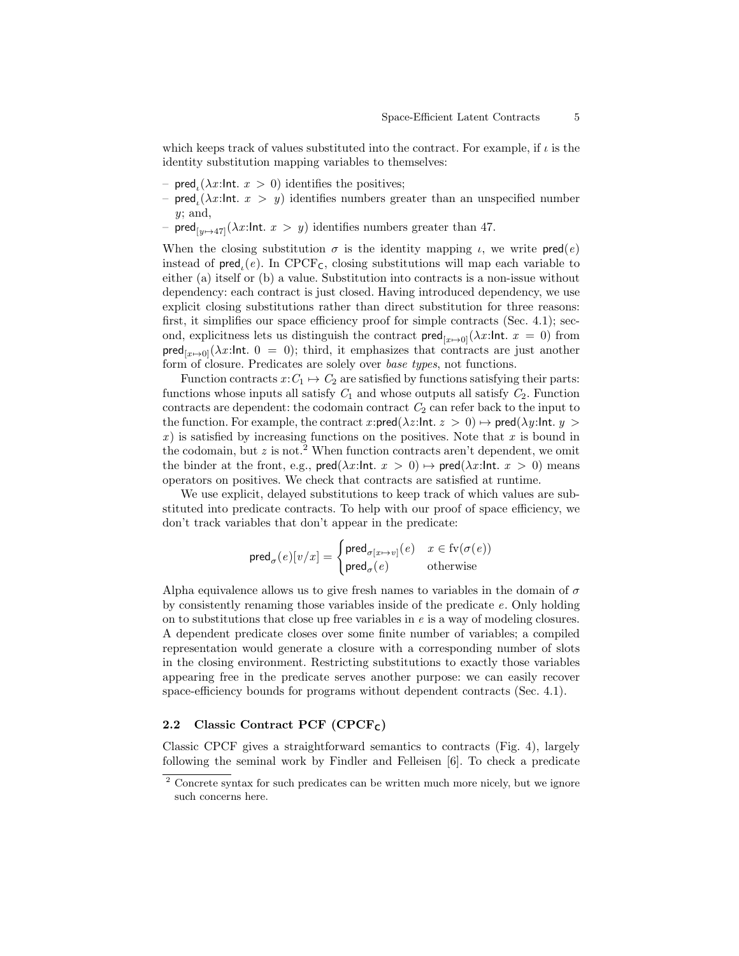which keeps track of values substituted into the contract. For example, if  $\iota$  is the identity substitution mapping variables to themselves:

- $\mathsf{pred}_{\iota}(\lambda x:\mathsf{Int.}\; x > 0)$  identifies the positives;
- $\mathsf{pred}_i(\lambda x:\mathsf{Int.}\; x > y)$  identifies numbers greater than an unspecified number  $y$ ; and,
- pred<sub>[ $y \mapsto 47$ ]</sub>( $\lambda x$ :Int.  $x > y$ ) identifies numbers greater than 47.

When the closing substitution  $\sigma$  is the identity mapping  $\iota$ , we write  $\mathsf{pred}(e)$ instead of  $\text{pred}_t(e)$ . In CPCF<sub>C</sub>, closing substitutions will map each variable to either (a) itself or (b) a value. Substitution into contracts is a non-issue without dependency: each contract is just closed. Having introduced dependency, we use explicit closing substitutions rather than direct substitution for three reasons: first, it simplifies our space efficiency proof for simple contracts (Sec. [4.1\)](#page-11-0); second, explicitness lets us distinguish the contract  $\text{pred}_{[x\mapsto 0]}(\lambda x:\text{Int. } x = 0)$  from  $\mathsf{pred}_{[x \mapsto 0]}(\lambda x:\mathsf{Int.}\ 0 = 0);$  third, it emphasizes that contracts are just another form of closure. Predicates are solely over base types, not functions.

Function contracts  $x: C_1 \mapsto C_2$  are satisfied by functions satisfying their parts: functions whose inputs all satisfy  $C_1$  and whose outputs all satisfy  $C_2$ . Function contracts are dependent: the codomain contract  $C_2$  can refer back to the input to the function. For example, the contract x:pred( $\lambda$ z:lnt.  $z > 0$ )  $\mapsto$  pred( $\lambda$ y:lnt.  $y >$  $x$ ) is satisfied by increasing functions on the positives. Note that  $x$  is bound in the codomain, but  $z$  is not.<sup>[2](#page-4-0)</sup> When function contracts aren't dependent, we omit the binder at the front, e.g.,  $\text{pred}(\lambda x:\text{Int. } x > 0) \mapsto \text{pred}(\lambda x:\text{Int. } x > 0)$  means operators on positives. We check that contracts are satisfied at runtime.

We use explicit, delayed substitutions to keep track of which values are substituted into predicate contracts. To help with our proof of space efficiency, we don't track variables that don't appear in the predicate:

$$
\mathsf{pred}_{\sigma}(e)[v/x] = \begin{cases} \mathsf{pred}_{\sigma[x \mapsto v]}(e) & x \in \text{fv}(\sigma(e)) \\ \mathsf{pred}_{\sigma}(e) & \text{otherwise} \end{cases}
$$

Alpha equivalence allows us to give fresh names to variables in the domain of  $\sigma$ by consistently renaming those variables inside of the predicate e. Only holding on to substitutions that close up free variables in  $e$  is a way of modeling closures. A dependent predicate closes over some finite number of variables; a compiled representation would generate a closure with a corresponding number of slots in the closing environment. Restricting substitutions to exactly those variables appearing free in the predicate serves another purpose: we can easily recover space-efficiency bounds for programs without dependent contracts (Sec. [4.1\)](#page-11-0).

# 2.2 Classic Contract PCF  $(CPCF<sub>C</sub>)$

Classic CPCF gives a straightforward semantics to contracts (Fig. [4\)](#page-6-0), largely following the seminal work by Findler and Felleisen [\[6\]](#page-18-0). To check a predicate

<span id="page-4-0"></span> $2$  Concrete syntax for such predicates can be written much more nicely, but we ignore such concerns here.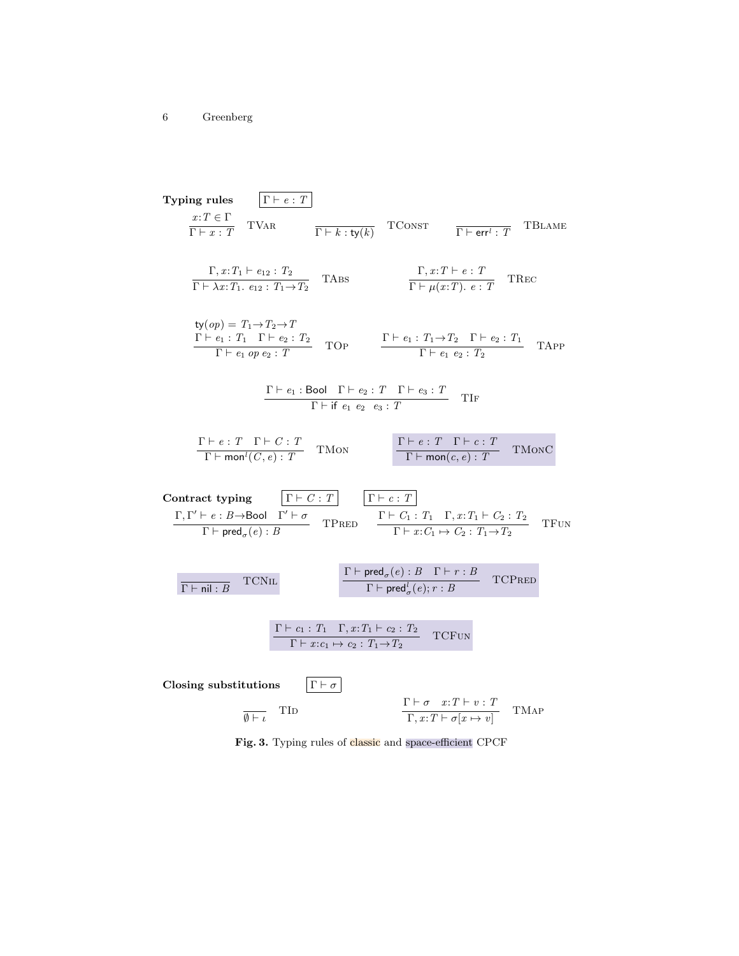Typing rules

\n
$$
\frac{x:T \in \Gamma}{\Gamma \vdash x : T}
$$
\n
$$
\frac{x:T_{\Gamma} \in \Gamma}{\Gamma \vdash x : T}
$$
\n
$$
\frac{\Gamma, x:T_1 \vdash e_{12} : T_2}{\Gamma \vdash \lambda x : T_1 \cdot e_{12} : T_1 \rightarrow T_2}
$$
\nThese

\n
$$
\frac{\Gamma, x:T_1 \vdash e_{12} : T_2}{\Gamma \vdash \lambda x : T_1 \cdot e_{12} : T_1 \rightarrow T_2}
$$
\nThese

\n
$$
\frac{\Gamma \vdash e_1 : T_1 \cap \Gamma \vdash e_2 : T_2}{\Gamma \vdash e_1 \cdot T_1 \cdot \Gamma \vdash e_2 : T_2}
$$
\n
$$
\frac{\Gamma \vdash e_1 : T_1 \rightarrow T_2 \rightarrow T}{\Gamma \vdash e_1 \cdot e_2 : T}
$$
\n
$$
\frac{\Gamma \vdash e_1 : B \text{ool} \Gamma \vdash e_2 : T \Gamma \vdash e_3 : T}{\Gamma \vdash \text{if } e_1 \cdot e_2 : T}
$$
\n
$$
\frac{\Gamma \vdash e : T \Gamma \vdash C : T}{\Gamma \vdash \text{mon}^t(C, e) : T}
$$
\nContract typing

\n
$$
\frac{\Gamma \vdash C : T}{\Gamma \vdash \text{prod}^t(C, e) : T}
$$
\n
$$
\frac{\Gamma \vdash c : T \Gamma \vdash C : T}{\Gamma \vdash \text{prod}^t(C, e) : T}
$$
\n
$$
\frac{\Gamma \vdash c : T \Gamma \vdash C : T}{\Gamma \vdash \text{prod}^t(C, e) : T}
$$
\n
$$
\frac{\Gamma \vdash c : T \vdash C : T_1 \Gamma, x : T_1 \vdash C_2 : T_2}{\Gamma \vdash \text{prod}^t(C, e) : B}
$$
\n
$$
\frac{\Gamma \vdash c_1 : T_1 \Gamma, x : T_1 \vdash C_2 : T_2}{\Gamma \vdash \text{prod}^t(B, e) : B}
$$
\n
$$
\frac{\Gamma \vdash c_1 : T_1 \Gamma, x : T_1 \vdash c_2 : T_2}{\Gamma \vdash x : C_1 \rightarrow C_2 : T_1 \rightarrow T_2}
$$
\nCDesing substitutions

\n<math display="block</p>

<span id="page-5-0"></span>Fig. 3. Typing rules of **classic** and space-efficient CPCF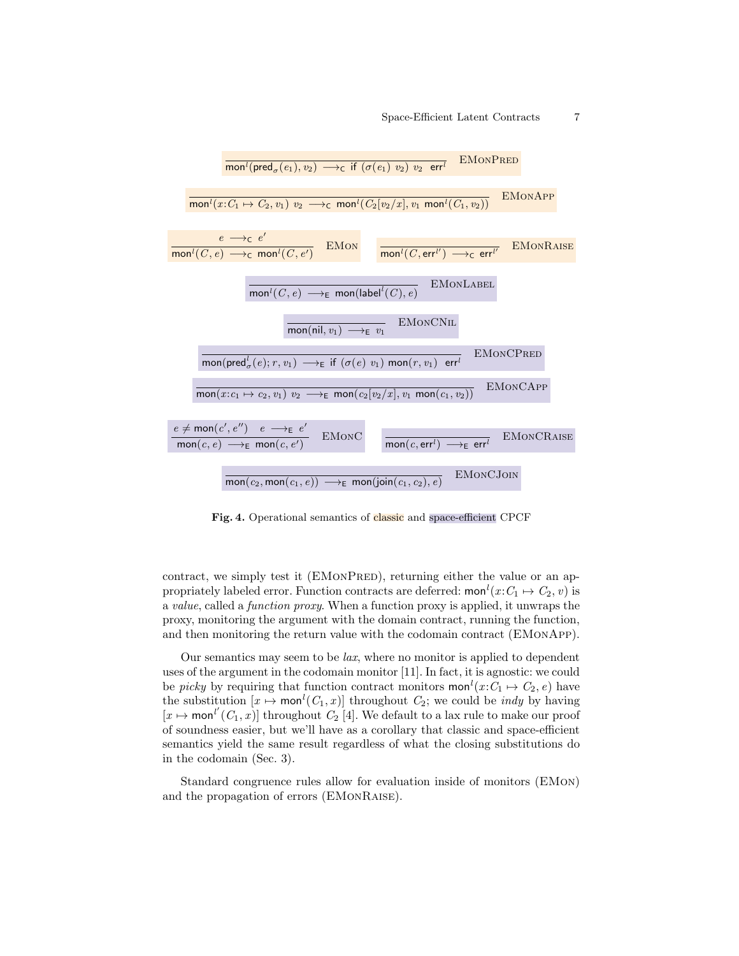

<span id="page-6-0"></span>Fig. 4. Operational semantics of classic and space-efficient CPCF

contract, we simply test it (EMONPRED), returning either the value or an appropriately labeled error. Function contracts are deferred:  $\text{mon}^l(x:C_1 \mapsto C_2, v)$  is a value, called a function proxy. When a function proxy is applied, it unwraps the proxy, monitoring the argument with the domain contract, running the function, and then monitoring the return value with the codomain contract (EMonApp).

Our semantics may seem to be *lax*, where no monitor is applied to dependent uses of the argument in the codomain monitor [\[11\]](#page-19-10). In fact, it is agnostic: we could be *picky* by requiring that function contract monitors  $\text{mon}^l(x: C_1 \mapsto C_2, e)$  have the substitution  $[x \mapsto \text{mon}^l(C_1, x)]$  throughout  $C_2$ ; we could be *indy* by having  $[x \mapsto \text{mon}^{l'}(C_1, x)]$  throughout  $C_2$  [\[4\]](#page-18-2). We default to a lax rule to make our proof of soundness easier, but we'll have as a corollary that classic and space-efficient semantics yield the same result regardless of what the closing substitutions do in the codomain (Sec. [3\)](#page-10-0).

Standard congruence rules allow for evaluation inside of monitors (EMon) and the propagation of errors (EMonRaise).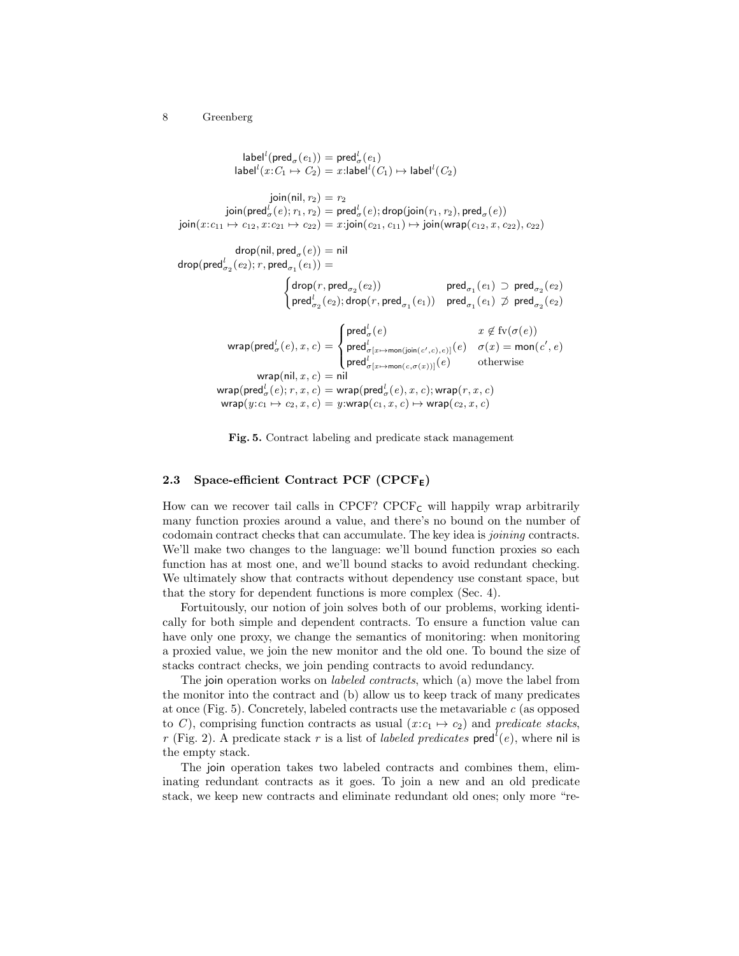$\mathsf{label}^l(\mathsf{pred}_\sigma(e_1)) = \mathsf{pred}^l_\sigma(e_1)$  $\mathsf{label}^l(x{:}C_1\mapsto C_2)=x{:}\mathsf{label}^l(C_1)\mapsto \mathsf{label}^l(C_2)$ join $(\mathsf{nil}, r_2) = r_2$  $\mathsf{join}(\mathsf{pred}_{\sigma}^l(e); r_1, r_2) = \mathsf{pred}_{\sigma}^l(e); \mathsf{drop}( \mathsf{join}(r_1, r_2), \mathsf{pred}_{\sigma}(e))$  $\mathsf{join}(x{:}c_{11} \mapsto c_{12}, x{:}c_{21} \mapsto c_{22}) = x{:}\mathsf{join}(c_{21}, c_{11}) \mapsto \mathsf{join}(\mathsf{wrap}(c_{12}, x, c_{22}), c_{22})$ drop $(\mathsf{nil}, \mathsf{pred}_{\sigma}(e)) = \mathsf{nil}$  $\mathsf{drop}(\mathsf{pred}_{\sigma_2}^l(e_2); r, \mathsf{pred}_{\sigma_1}(e_1)) =$  $\int\!\mathsf{drop}(r,\mathsf{pred}_{\sigma_2}(e_2))$   $\qquad \qquad \mathsf{pred}_{\sigma_1}(e_1) \supset \mathsf{pred}_{\sigma_2}(e_2)$  $\mathsf{pred}_{\sigma_2}^l(e_2); \mathsf{drop}(r, \mathsf{pred}_{\sigma_1}(e_1)) \quad \mathsf{pred}_{\sigma_1}(e_1) \not \supset \mathsf{pred}_{\sigma_2}(e_2)$  $\mathsf{wrap}(\mathsf{pred}_{\sigma}^l(e), x, c) =$  $\sqrt{ }$  $\int$  $\mathcal{L}$  $\mathsf{pred}_{\sigma}^{l}(e)$   $x \notin \mathrm{fv}(\sigma(e))$  $\mathsf{pred}_{\sigma[x \mapsto \mathsf{mon}(\mathsf{join}(c',c), e)]}^l(e) \quad \sigma(x) = \mathsf{mon}(c', e)$  $\mathsf{pred}_{\sigma[x \mapsto \mathsf{mon}(c, \sigma(x))]}^{l}(e)$  otherwise  $w$ rap $(nil, x, c) = ni$  $\mathsf{wrap}(\mathsf{pred}^l_\sigma(e); r, x, c) = \mathsf{wrap}(\mathsf{pred}^l_\sigma(e), x, c); \mathsf{wrap}(r, x, c)$ wrap $(y:c_1 \mapsto c_2, x, c) = y:$ wrap $(c_1, x, c) \mapsto$  wrap $(c_2, x, c)$ 

<span id="page-7-0"></span>Fig. 5. Contract labeling and predicate stack management

#### 2.3 Space-efficient Contract PCF  $(CPCF<sub>E</sub>)$

How can we recover tail calls in CPCF? CPCF<sub>C</sub> will happily wrap arbitrarily many function proxies around a value, and there's no bound on the number of codomain contract checks that can accumulate. The key idea is joining contracts. We'll make two changes to the language: we'll bound function proxies so each function has at most one, and we'll bound stacks to avoid redundant checking. We ultimately show that contracts without dependency use constant space, but that the story for dependent functions is more complex (Sec. [4\)](#page-11-1).

Fortuitously, our notion of join solves both of our problems, working identically for both simple and dependent contracts. To ensure a function value can have only one proxy, we change the semantics of monitoring: when monitoring a proxied value, we join the new monitor and the old one. To bound the size of stacks contract checks, we join pending contracts to avoid redundancy.

The join operation works on *labeled contracts*, which (a) move the label from the monitor into the contract and (b) allow us to keep track of many predicates at once (Fig. [5\)](#page-7-0). Concretely, labeled contracts use the metavariable  $c$  (as opposed to C), comprising function contracts as usual  $(x:c_1 \mapsto c_2)$  and predicate stacks, r (Fig. [2\)](#page-3-0). A predicate stack r is a list of *labeled predicates* pred<sup>l</sup> $(e)$ , where nil is the empty stack.

The join operation takes two labeled contracts and combines them, eliminating redundant contracts as it goes. To join a new and an old predicate stack, we keep new contracts and eliminate redundant old ones; only more "re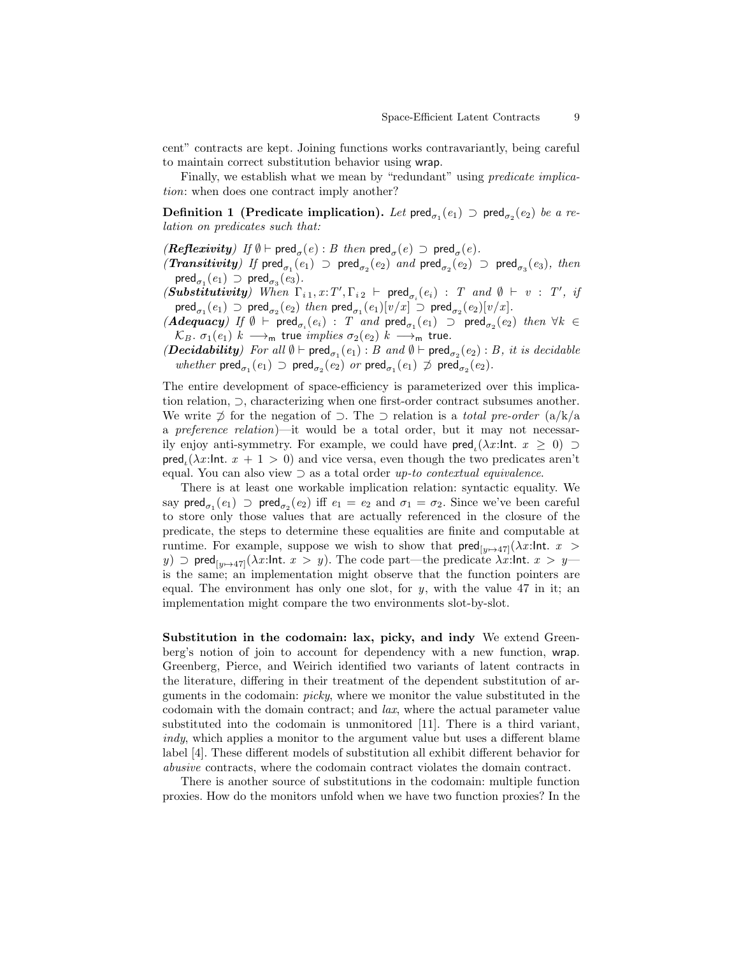cent" contracts are kept. Joining functions works contravariantly, being careful to maintain correct substitution behavior using wrap.

<span id="page-8-0"></span>Finally, we establish what we mean by "redundant" using *predicate implica*tion: when does one contract imply another?

Definition 1 (Predicate implication). Let  $\mathsf{pred}_{\sigma_1}(e_1) \supset \mathsf{pred}_{\sigma_2}(e_2)$  be a relation on predicates such that:

 $(Reflexivity)$  If  $\emptyset \vdash \mathsf{pred}_{\sigma}(e) : B$  then  $\mathsf{pred}_{\sigma}(e) \supset \mathsf{pred}_{\sigma}(e)$ .

 $(Transitivity)$  If  $\text{pred}_{\sigma_1}(e_1) \supset \text{pred}_{\sigma_2}(e_2)$  and  $\text{pred}_{\sigma_2}(e_2) \supset \text{pred}_{\sigma_3}(e_3)$ , then  $\mathsf{pred}_{\sigma_1}(e_1) \supset \mathsf{pred}_{\sigma_3}(e_3).$ 

 $(Substitutivity)$  When  $\Gamma_{i,1}, x: T', \Gamma_{i,2} \vdash \text{pred}_{\sigma_i}(e_i) : T \text{ and } \emptyset \vdash v : T', \text{ if}$  $\mathsf{pred}_{\sigma_1}(e_1) \supset \mathsf{pred}_{\sigma_2}(e_2) \text{ then } \mathsf{pred}_{\sigma_1}(e_1)[v/x] \supset \mathsf{pred}_{\sigma_2}(e_2)[v/x].$ 

 $(Adequacy)$  If  $\emptyset \vdash \textsf{pred}_{\sigma_i}(e_i) : T \text{ and } \textsf{pred}_{\sigma_1}(e_1) \supset \textsf{pred}_{\sigma_2}(e_2) \text{ then } \forall k \in$  $\mathcal{K}_B$ .  $\sigma_1(e_1)$  k  $\longrightarrow_m$  true *implies*  $\sigma_2(e_2)$  k  $\longrightarrow_m$  true.

(**Decidability**) For all  $\emptyset \vdash \mathsf{pred}_{\sigma_1}(e_1) : B$  and  $\emptyset \vdash \mathsf{pred}_{\sigma_2}(e_2) : B$ , it is decidable  $\mathit{whether}\ \mathsf{pred}_{\sigma_1}(e_1) \supset \mathsf{pred}_{\sigma_2}(e_2) \ \mathit{or}\ \mathsf{pred}_{\sigma_1}(e_1) \not\supset \mathsf{pred}_{\sigma_2}(e_2).$ 

The entire development of space-efficiency is parameterized over this implication relation, ⊃, characterizing when one first-order contract subsumes another. We write  $\phi$  for the negation of  $\supset$ . The  $\supset$  relation is a *total pre-order* (a/k/a a preference relation)—it would be a total order, but it may not necessarily enjoy anti-symmetry. For example, we could have  $\text{pred}_{\iota}(\lambda x:\text{Int. } x \geq 0) \supset$  $\mathsf{pred}_{\iota}(\lambda x:\mathsf{Int.}\; x + 1 > 0)$  and vice versa, even though the two predicates aren't equal. You can also view  $\supset$  as a total order up-to contextual equivalence.

There is at least one workable implication relation: syntactic equality. We say  $\text{pred}_{\sigma_1}(e_1) \supset \text{pred}_{\sigma_2}(e_2)$  iff  $e_1 = e_2$  and  $\sigma_1 = \sigma_2$ . Since we've been careful to store only those values that are actually referenced in the closure of the predicate, the steps to determine these equalities are finite and computable at runtime. For example, suppose we wish to show that  $\text{pred}_{[y_1 \rightarrow 47]}(\lambda x:\text{Int. } x >$ y)  $\supset$  pred<sub>[y+47]</sub>( $\lambda x$ :lnt.  $x > y$ ). The code part—the predicate  $\lambda x$ :lnt.  $x > y$  is the same; an implementation might observe that the function pointers are equal. The environment has only one slot, for  $y$ , with the value 47 in it; an implementation might compare the two environments slot-by-slot.

Substitution in the codomain: lax, picky, and indy We extend Greenberg's notion of join to account for dependency with a new function, wrap. Greenberg, Pierce, and Weirich identified two variants of latent contracts in the literature, differing in their treatment of the dependent substitution of arguments in the codomain: picky, where we monitor the value substituted in the codomain with the domain contract; and  $lax$ , where the actual parameter value substituted into the codomain is unmonitored [\[11\]](#page-19-10). There is a third variant, indy, which applies a monitor to the argument value but uses a different blame label [\[4\]](#page-18-2). These different models of substitution all exhibit different behavior for abusive contracts, where the codomain contract violates the domain contract.

There is another source of substitutions in the codomain: multiple function proxies. How do the monitors unfold when we have two function proxies? In the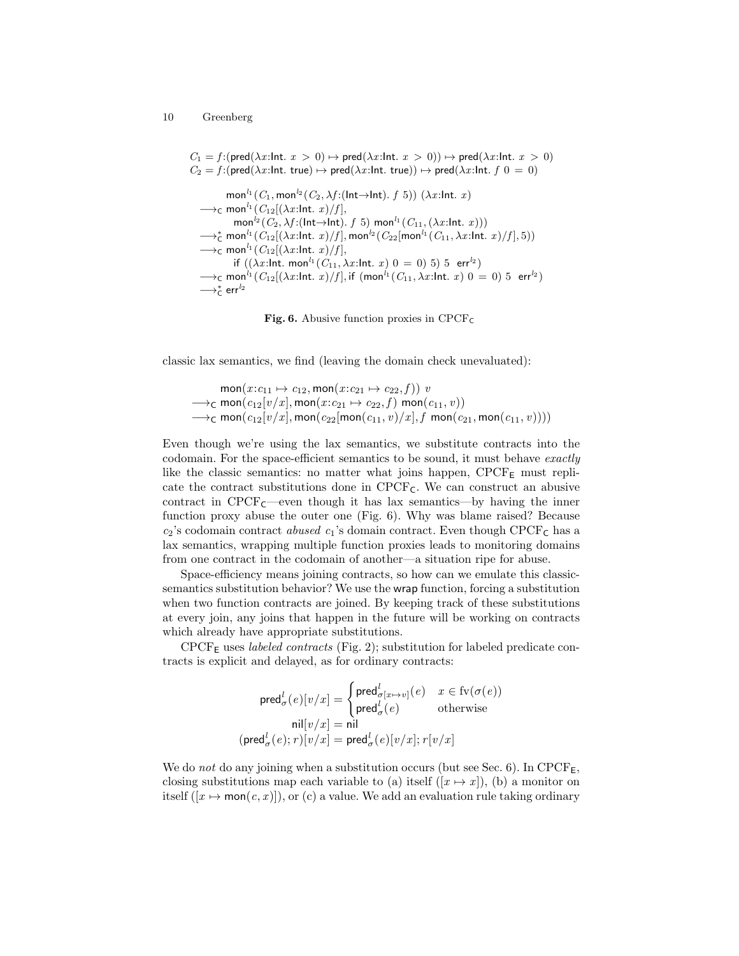$C_1 = f$ :(pred( $\lambda x$ :Int.  $x > 0$ )  $\mapsto$  pred( $\lambda x$ :Int.  $x > 0$ ))  $\mapsto$  pred( $\lambda x$ :Int.  $x > 0$ )  $C_2 = f$ :(pred( $\lambda x$ :Int. true)  $\mapsto$  pred( $\lambda x$ :Int. true))  $\mapsto$  pred( $\lambda x$ :Int. f 0 = 0)

```
mon<sup>l<sub>1</sub></sup> (C_1, mon<sup>l<sub>2</sub></sup> (C_2, \lambda f:(Int→Int). f 5)) (\lambda x:Int. x)
\longrightarrowc mon<sup>l<sub>1</sub></sup> (C_{12}[(\lambda x:\text{Int. } x)/f],
                mon<sup>l_2</sup>(C_2, \lambda f:(Int→Int). f 5) mon<sup>l_1</sup>(C_{11}, (\lambda x:Int. x)))
 \longrightarrow^*_\mathsf{C} mon{}^{l_1}(C_{12}[(\lambda x{:}\mathsf{Int.}\;x)/f], mon{}^{l_2}(C_{22}[\mathsf{mon}^{l_1}(C_{11},\lambda x{:}\mathsf{Int.}\;x)/f], 5))\longrightarrow<sub>C</sub> mon<sup>l<sub>1</sub></sup> (C_{12}[(\lambda x:\ln t. x)/f],
                 if ((\lambda x:\mathsf{Int.}\; \mathsf{mon}^{l_1}(C_{11}, \lambda x:\mathsf{Int.}\; x) \; 0 = 0) \;5) \;5 \;\; \mathsf{err}^{l_2})\longrightarrowc mon^{l_1}(C_{12}[(\lambda x{:}\mathsf{Int.}\; x)/f], if (\mathsf{mon}^{l_1}(C_{11}, \lambda x{:}\mathsf{Int.}\; x) 0 = 0) 5 \mathsf{err}^{l_2})\longrightarrow_{\mathsf{C}}^* err^{l_2}
```
<span id="page-9-0"></span>Fig. 6. Abusive function proxies in CPCF<sub>C</sub>

classic lax semantics, we find (leaving the domain check unevaluated):

$$
\begin{array}{c}\n\text{mon}(x:c_{11} \mapsto c_{12}, \text{mon}(x:c_{21} \mapsto c_{22}, f))\ v \\
\longrightarrow_C \text{mon}(c_{12}[v/x], \text{mon}(x:c_{21} \mapsto c_{22}, f) \text{ mon}(c_{11}, v)) \\
\longrightarrow_C \text{mon}(c_{12}[v/x], \text{mon}(c_{22}[\text{mon}(c_{11}, v)/x], f \text{ mon}(c_{21}, \text{mon}(c_{11}, v))))\n\end{array}
$$

Even though we're using the lax semantics, we substitute contracts into the codomain. For the space-efficient semantics to be sound, it must behave exactly like the classic semantics: no matter what joins happen,  $\text{CPCF}_\text{E}$  must replicate the contract substitutions done in  $\text{CPCF}_{\text{C}}$ . We can construct an abusive contract in  $CPCF_C$ —even though it has lax semantics—by having the inner function proxy abuse the outer one (Fig. [6\)](#page-9-0). Why was blame raised? Because  $c_2$ 's codomain contract *abused*  $c_1$ 's domain contract. Even though CPCF<sub>C</sub> has a lax semantics, wrapping multiple function proxies leads to monitoring domains from one contract in the codomain of another—a situation ripe for abuse.

Space-efficiency means joining contracts, so how can we emulate this classicsemantics substitution behavior? We use the wrap function, forcing a substitution when two function contracts are joined. By keeping track of these substitutions at every join, any joins that happen in the future will be working on contracts which already have appropriate substitutions.

 $CPCF<sub>E</sub>$  uses *labeled contracts* (Fig. [2\)](#page-3-0); substitution for labeled predicate contracts is explicit and delayed, as for ordinary contracts:

$$
\text{pred}_{\sigma}^{l}(e)[v/x] = \begin{cases} \text{pred}_{\sigma[x \mapsto v]}^{l}(e) & x \in \text{fv}(\sigma(e)) \\ \text{pred}_{\sigma}^{l}(e) & \text{otherwise} \end{cases}
$$

$$
\text{nil}[v/x] = \text{nil}
$$

$$
(\text{pred}_{\sigma}^{l}(e); r)[v/x] = \text{pred}_{\sigma}^{l}(e)[v/x]; r[v/x]
$$

We do *not* do any joining when a substitution occurs (but see Sec. [6\)](#page-16-0). In CPCF<sub>F</sub>, closing substitutions map each variable to (a) itself  $([x \mapsto x])$ , (b) a monitor on itself  $([x \mapsto \text{mon}(c, x)])$ , or (c) a value. We add an evaluation rule taking ordinary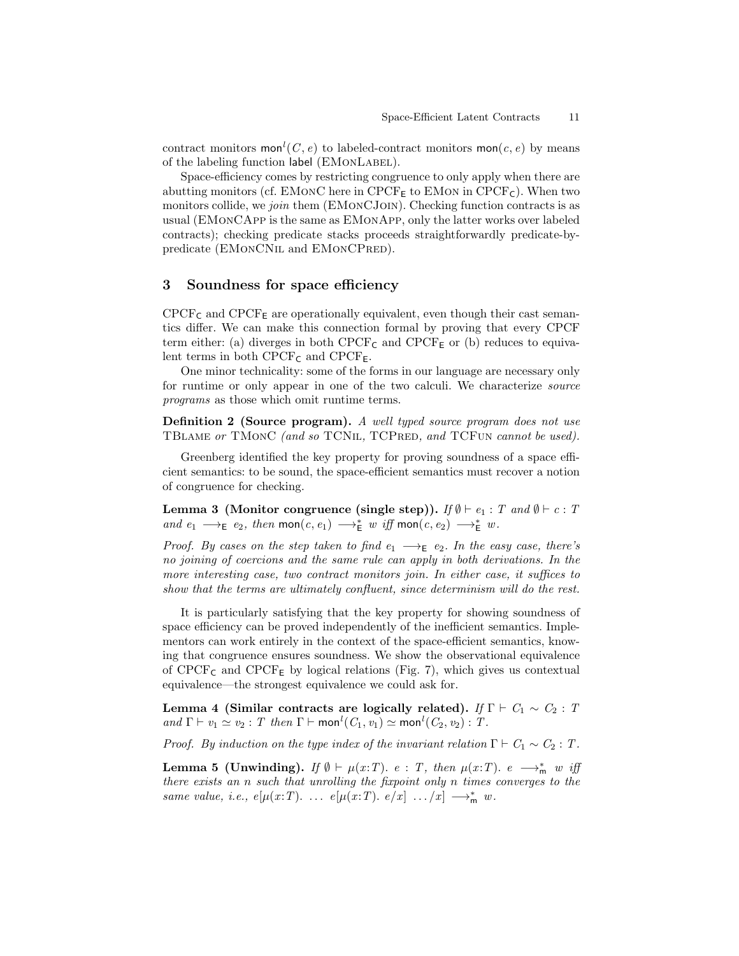contract monitors  $\text{mon}^l(C, e)$  to labeled-contract monitors  $\text{mon}(c, e)$  by means of the labeling function label (EMONLABEL).

Space-efficiency comes by restricting congruence to only apply when there are abutting monitors (cf. EMONC here in CPCF<sub>E</sub> to EMON in CPCF<sub>C</sub>). When two monitors collide, we *join* them (EMONCJOIN). Checking function contracts is as usual (EMonCApp is the same as EMonApp, only the latter works over labeled contracts); checking predicate stacks proceeds straightforwardly predicate-bypredicate (EMONCNIL and EMONCPRED).

# <span id="page-10-0"></span>3 Soundness for space efficiency

 $CPCF_{\text{C}}$  and  $CPCF_{\text{E}}$  are operationally equivalent, even though their cast semantics differ. We can make this connection formal by proving that every CPCF term either: (a) diverges in both CPCF<sub>c</sub> and CPCF<sub>E</sub> or (b) reduces to equivalent terms in both  $\text{CPCF}_{\textsf{C}}$  and  $\text{CPCF}_{\textsf{E}}$ .

One minor technicality: some of the forms in our language are necessary only for runtime or only appear in one of the two calculi. We characterize source programs as those which omit runtime terms.

Definition 2 (Source program). A well typed source program does not use TBLAME or TMONC (and so TCNIL, TCPRED, and TCFUN cannot be used).

Greenberg identified the key property for proving soundness of a space efficient semantics: to be sound, the space-efficient semantics must recover a notion of congruence for checking.

Lemma 3 (Monitor congruence (single step)). If  $\emptyset \vdash e_1 : T$  and  $\emptyset \vdash c : T$ and  $e_1 \longrightarrow_E e_2$ , then  $\text{mon}(c, e_1) \longrightarrow_E^* w$  iff  $\text{mon}(c, e_2) \longrightarrow_E^* w$ .

Proof. By cases on the step taken to find  $e_1 \rightarrow \varepsilon e_2$ . In the easy case, there's no joining of coercions and the same rule can apply in both derivations. In the more interesting case, two contract monitors join. In either case, it suffices to show that the terms are ultimately confluent, since determinism will do the rest.

It is particularly satisfying that the key property for showing soundness of space efficiency can be proved independently of the inefficient semantics. Implementors can work entirely in the context of the space-efficient semantics, knowing that congruence ensures soundness. We show the observational equivalence of CPCF<sub>c</sub> and CPCF<sub>E</sub> by logical relations (Fig. [7\)](#page-11-2), which gives us contextual equivalence—the strongest equivalence we could ask for.

Lemma 4 (Similar contracts are logically related). If  $\Gamma \vdash C_1 \sim C_2 : T$ and  $\Gamma \vdash v_1 \simeq v_2 : T$  then  $\Gamma \vdash \text{mon}^l(C_1, v_1) \simeq \text{mon}^l(C_2, v_2) : T$ .

Proof. By induction on the type index of the invariant relation  $\Gamma \vdash C_1 \sim C_2 : T$ .

Lemma 5 (Unwinding). If  $\emptyset \vdash \mu(x:T)$ . e : T, then  $\mu(x:T)$ . e  $\longrightarrow_{\mathsf{m}}^*$  w iff there exists an n such that unrolling the fixpoint only n times converges to the same value, i.e.,  $e[\mu(x:T)] \ldots e[\mu(x:T), e/x] \ldots /x] \longrightarrow_{\mathfrak{m}}^* w$ .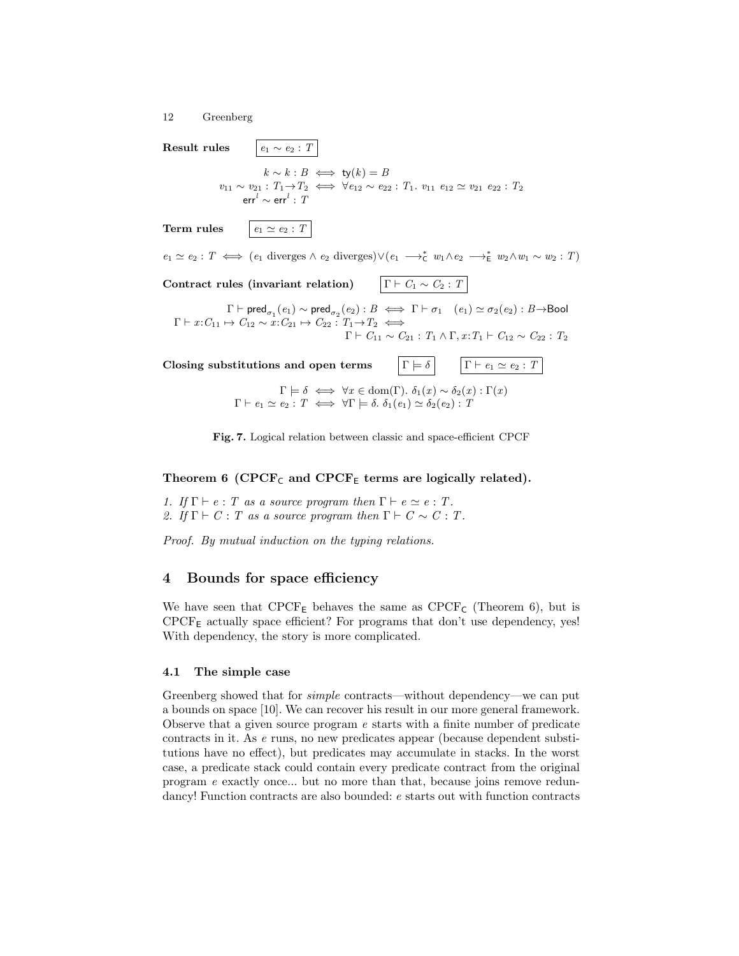Result rules  $e_1 \sim e_2 : T$ 

 $k \sim k : B \iff \mathsf{ty}(k) = B$  $v_{11} \sim v_{21} : T_1 \rightarrow T_2 \iff \forall e_{12} \sim e_{22} : T_1. \ v_{11} \ e_{12} \simeq v_{21} \ e_{22} : T_2$ err $^l \sim$  err $^l$   $: \ T$ 

Term rules  $e_1 \simeq e_2 : T$ 

 $e_1 \simeq e_2 : T \iff (e_1 \text{ diverges} \land e_2 \text{ diverges}) \lor (e_1 \rightarrow c \text{``} w_1 \land e_2 \rightarrow c \text{``} w_2 \land w_1 \sim w_2 : T)$ 

Contract rules (invariant relation)  $\boxed{\Gamma \vdash C_1 \sim C_2 : T}$ 

 $\Gamma \vdash \mathsf{pred}_{\sigma_1}(e_1) \sim \mathsf{pred}_{\sigma_2}(e_2) : B \iff \Gamma \vdash \sigma_1 \quad (e_1) \simeq \sigma_2(e_2) : B \to \mathsf{Bool}$  $\Gamma \vdash x : C_{11} \mapsto C_{12} \sim x : C_{21} \mapsto C_{22} : T_1 \rightarrow T_2 \iff$  $Γ ⊢ C<sub>11</sub> ∼ C<sub>21</sub> : T<sub>1</sub> ∧ Γ, x : T<sub>1</sub> ⊢ C<sub>12</sub> ∼ C<sub>22</sub> : T<sub>2</sub>$ 

Closing substitutions and open terms  $\boxed{\Gamma \models \delta}$   $\boxed{\Gamma \vdash e_1 \simeq e_2 : T}$ 

 $\Gamma \models \delta \iff \forall x \in \text{dom}(\Gamma). \ \delta_1(x) \sim \delta_2(x) : \Gamma(x)$  $\Gamma \vdash e_1 \simeq e_2 : T \iff \forall \Gamma \models \delta. \ \delta_1(e_1) \simeq \delta_2(e_2) : T$ 

<span id="page-11-2"></span>Fig. 7. Logical relation between classic and space-efficient CPCF

<span id="page-11-3"></span>Theorem 6 (CPCF<sub>C</sub> and CPCF<sub>E</sub> terms are logically related).

1. If  $\Gamma \vdash e : T$  as a source program then  $\Gamma \vdash e \simeq e : T$ . 2. If  $\Gamma \vdash C : T$  as a source program then  $\Gamma \vdash C \sim C : T$ .

Proof. By mutual induction on the typing relations.

## <span id="page-11-1"></span>4 Bounds for space efficiency

We have seen that CPCF<sub>E</sub> behaves the same as CPCF<sub>C</sub> (Theorem [6\)](#page-11-3), but is  $CPCF<sub>E</sub>$  actually space efficient? For programs that don't use dependency, yes! With dependency, the story is more complicated.

#### <span id="page-11-0"></span>4.1 The simple case

Greenberg showed that for simple contracts—without dependency—we can put a bounds on space [\[10\]](#page-19-0). We can recover his result in our more general framework. Observe that a given source program e starts with a finite number of predicate contracts in it. As e runs, no new predicates appear (because dependent substitutions have no effect), but predicates may accumulate in stacks. In the worst case, a predicate stack could contain every predicate contract from the original program e exactly once... but no more than that, because joins remove redundancy! Function contracts are also bounded: e starts out with function contracts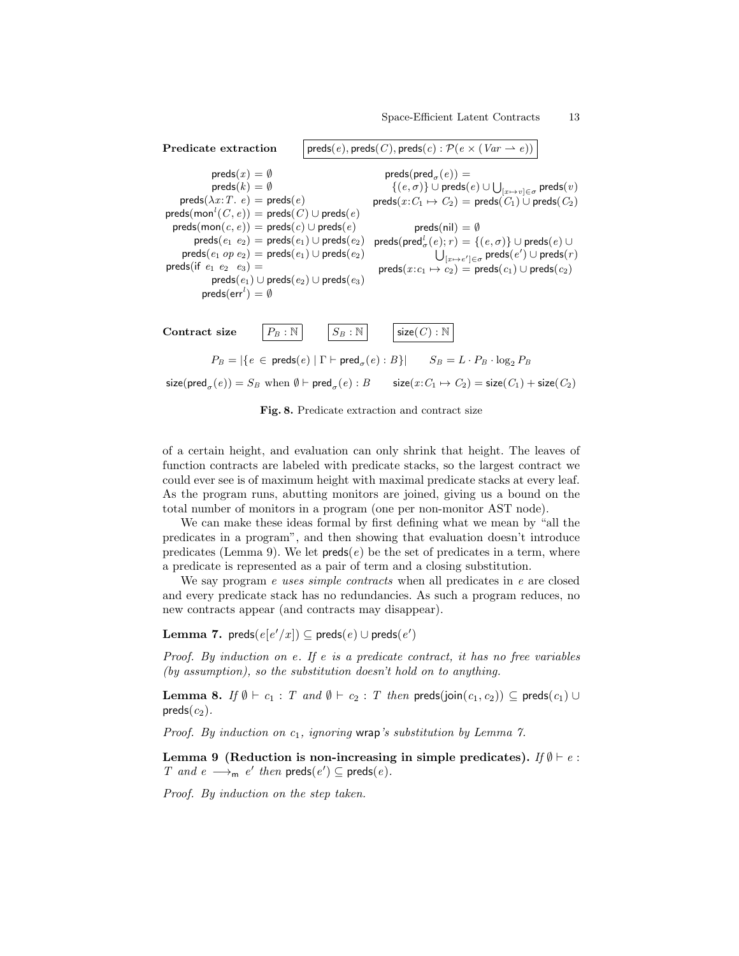| Predicate extraction                                                                                                                                                                                                                                                                                                                                                                                                                                                                                                                                                                                                       | $\mathsf{preds}(e), \mathsf{preds}(C), \mathsf{preds}(c) : \mathcal{P}(e \times (Var \rightarrow e))$                                                                                                                                                                                                                                                                                                                                                                                                                                         |  |  |  |  |  |
|----------------------------------------------------------------------------------------------------------------------------------------------------------------------------------------------------------------------------------------------------------------------------------------------------------------------------------------------------------------------------------------------------------------------------------------------------------------------------------------------------------------------------------------------------------------------------------------------------------------------------|-----------------------------------------------------------------------------------------------------------------------------------------------------------------------------------------------------------------------------------------------------------------------------------------------------------------------------------------------------------------------------------------------------------------------------------------------------------------------------------------------------------------------------------------------|--|--|--|--|--|
| $\mathsf{preds}(x) = \emptyset$<br>$\mathsf{preds}(k) = \emptyset$<br>$\textsf{preds}(\lambda x \colon T. e) = \textsf{preds}(e)$<br>$\mathsf{preds}(\mathsf{mon}^l(C, e)) = \mathsf{preds}(C) \cup \mathsf{preds}(e)$<br>$\mathsf{preds}(\mathsf{mon}(c, e)) = \mathsf{preds}(c) \cup \mathsf{preds}(e)$<br>$\mathsf{preds}(e_1 \ e_2) = \mathsf{preds}(e_1) \cup \mathsf{preds}(e_2)$<br>$\mathsf{preds}(e_1 \text{ op } e_2) = \mathsf{preds}(e_1) \cup \mathsf{preds}(e_2)$<br>preds(if $e_1$ $e_2$ $e_3$ ) =<br>$\mathsf{preds}(e_1) \cup \mathsf{preds}(e_2) \cup \mathsf{preds}(e_3)$<br>$preds(err^l) = \emptyset$ | $\mathsf{preds}(\mathsf{pred}_{\sigma}(e)) =$<br>$\{(e, \sigma)\} \cup \mathsf{preds}(e) \cup \bigcup_{[x \mapsto v] \in \sigma} \mathsf{preds}(v)$<br>$\text{preds}(x: C_1 \mapsto C_2) = \text{preds}(C_1) \cup \text{preds}(C_2)$<br>$preds(nil) = \emptyset$<br>$\mathsf{preds}(\mathsf{pred}_{\sigma}^{l}(e); r) = \{(e, \sigma)\} \cup \mathsf{preds}(e) \cup$<br>$\bigcup_{[x \mapsto e'] \in \sigma} \mathsf{preds}(e') \cup \mathsf{preds}(r)$<br>$\mathsf{preds}(x:c_1 \mapsto c_2) = \mathsf{preds}(c_1) \cup \mathsf{preds}(c_2)$ |  |  |  |  |  |
|                                                                                                                                                                                                                                                                                                                                                                                                                                                                                                                                                                                                                            |                                                                                                                                                                                                                                                                                                                                                                                                                                                                                                                                               |  |  |  |  |  |

**Contract size**  $\boxed{P_B : \mathbb{N}}$   $\boxed{S_B : \mathbb{N}}$   $\boxed{\text{size}(C) : \mathbb{N}}$  $P_B = |\{e \in \text{preds}(e) \mid \Gamma \vdash \textsf{pred}_{\sigma}(e) : B\}| \qquad S_B = L \cdot P_B \cdot \log_2 P_B$  $\mathsf{size}(\mathsf{pred}_{\sigma}(e)) = S_B \text{ when } \emptyset \vdash \mathsf{pred}_{\sigma}$  $size(x:C_1 \mapsto C_2) = size(C_1) + size(C_2)$ 

Fig. 8. Predicate extraction and contract size

of a certain height, and evaluation can only shrink that height. The leaves of function contracts are labeled with predicate stacks, so the largest contract we could ever see is of maximum height with maximal predicate stacks at every leaf. As the program runs, abutting monitors are joined, giving us a bound on the total number of monitors in a program (one per non-monitor AST node).

We can make these ideas formal by first defining what we mean by "all the predicates in a program", and then showing that evaluation doesn't introduce predicates (Lemma [9\)](#page-12-0). We let  $\mathsf{preds}(e)$  be the set of predicates in a term, where a predicate is represented as a pair of term and a closing substitution.

We say program e uses simple contracts when all predicates in e are closed and every predicate stack has no redundancies. As such a program reduces, no new contracts appear (and contracts may disappear).

<span id="page-12-1"></span>Lemma 7. preds $(e[e'/x]) \subseteq \mathsf{preds}(e) \cup \mathsf{preds}(e')$ 

Proof. By induction on e. If e is a predicate contract, it has no free variables (by assumption), so the substitution doesn't hold on to anything.

**Lemma 8.** If  $\emptyset \vdash c_1 : T$  and  $\emptyset \vdash c_2 : T$  then preds(join $(c_1, c_2)$ )  $\subseteq$  preds $(c_1) \cup$ preds $(c_2)$ .

Proof. By induction on  $c_1$ , ignoring wrap's substitution by Lemma [7.](#page-12-1)

<span id="page-12-0"></span>Lemma 9 (Reduction is non-increasing in simple predicates). If  $\emptyset \vdash e$ : T and  $e \longrightarrow_{\mathsf{m}} e'$  then  $\mathsf{preds}(e') \subseteq \mathsf{preds}(e)$ .

Proof. By induction on the step taken.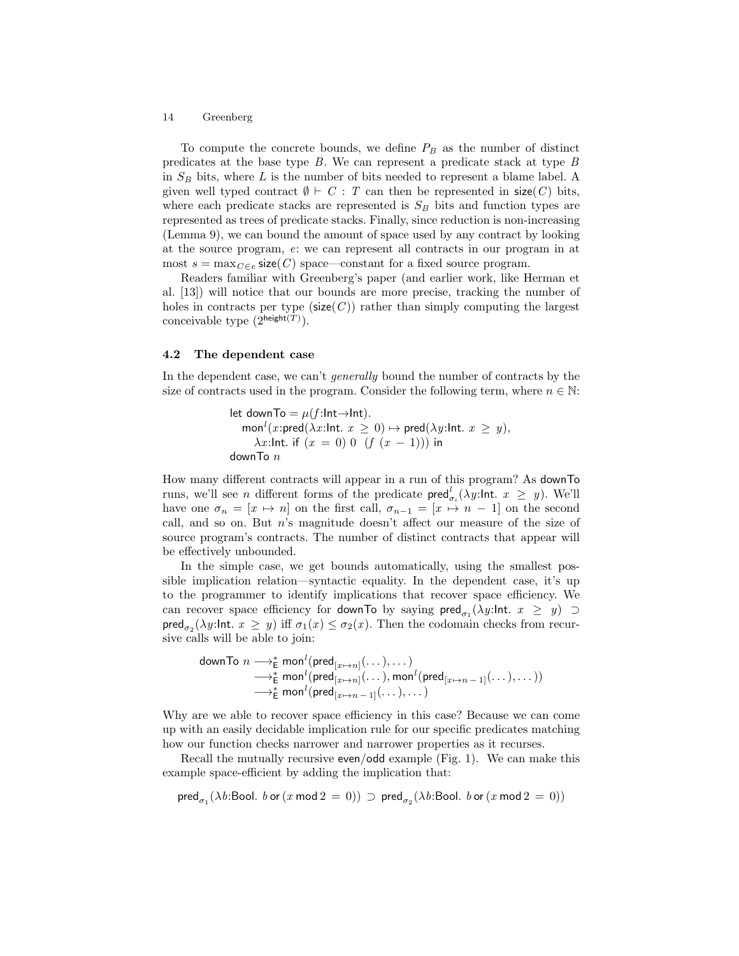To compute the concrete bounds, we define  $P_B$  as the number of distinct predicates at the base type B. We can represent a predicate stack at type B in  $S_B$  bits, where L is the number of bits needed to represent a blame label. A given well typed contract  $\emptyset \vdash C : T$  can then be represented in size(C) bits, where each predicate stacks are represented is  $S_B$  bits and function types are represented as trees of predicate stacks. Finally, since reduction is non-increasing (Lemma [9\)](#page-12-0), we can bound the amount of space used by any contract by looking at the source program, e: we can represent all contracts in our program in at most  $s = \max_{C \in e}$  size(C) space—constant for a fixed source program.

Readers familiar with Greenberg's paper (and earlier work, like Herman et al. [\[13\]](#page-19-5)) will notice that our bounds are more precise, tracking the number of holes in contracts per type (size( $C$ )) rather than simply computing the largest conceivable type  $(2^{\text{height}(T)})$ .

#### <span id="page-13-0"></span>4.2 The dependent case

In the dependent case, we can't generally bound the number of contracts by the size of contracts used in the program. Consider the following term, where  $n \in \mathbb{N}$ :

let downTo = 
$$
\mu(f:\text{Int}\rightarrow \text{Int})
$$
.  
\nmon<sup>l</sup>(x:pred( $\lambda x:\text{Int. } x \ge 0$ )  $\mapsto$  pred( $\lambda y:\text{Int. } x \ge y$ ),  
\n $\lambda x:\text{Int. if } (x = 0) 0 \text{ (}f (x - 1)\text{)) in}$   
\ndownTo n

How many different contracts will appear in a run of this program? As downTo runs, we'll see *n* different forms of the predicate  $\text{pred}_{\sigma_i}^l(\lambda y:\text{Int. } x \geq y)$ . We'll have one  $\sigma_n = [x \mapsto n]$  on the first call,  $\sigma_{n-1} = [x \mapsto n-1]$  on the second call, and so on. But n's magnitude doesn't affect our measure of the size of source program's contracts. The number of distinct contracts that appear will be effectively unbounded.

In the simple case, we get bounds automatically, using the smallest possible implication relation—syntactic equality. In the dependent case, it's up to the programmer to identify implications that recover space efficiency. We can recover space efficiency for **downTo** by saying  $\text{pred}_{\sigma_1}(\lambda y:\text{Int. } x \geq y) \supset$  $\mathsf{pred}_{\sigma_2}(\lambda y:\mathsf{Int.}\; x \geq y) \text{ iff } \sigma_1(x) \leq \sigma_2(x). \text{ Then the codomain checks from recur-}$ sive calls will be able to join:

$$
\begin{array}{ll}\text{downTo } n \longrightarrow_\mathsf{E}^* \text{mon}^l(\text{pred}_{[x \mapsto n]}(\ldots), \ldots) \\ \longrightarrow_\mathsf{E}^* \text{mon}^l(\text{pred}_{[x \mapsto n]}(\ldots), \text{mon}^l(\text{pred}_{[x \mapsto n-1]}(\ldots), \ldots)) \\ \longrightarrow_\mathsf{E}^* \text{mon}^l(\text{pred}_{[x \mapsto n-1]}(\ldots), \ldots)\end{array}
$$

Why are we able to recover space efficiency in this case? Because we can come up with an easily decidable implication rule for our specific predicates matching how our function checks narrower and narrower properties as it recurses.

Recall the mutually recursive even/odd example (Fig. [1\)](#page-2-0). We can make this example space-efficient by adding the implication that:

$$
\mathsf{pred}_{\sigma_1}(\lambda b:\mathsf{Bool}.\ \ b\ \mathsf{or}\ (x\ \mathsf{mod}\ 2\ =\ 0))\ \supset\ \mathsf{pred}_{\sigma_2}(\lambda b:\mathsf{Bool}.\ \ b\ \mathsf{or}\ (x\ \mathsf{mod}\ 2\ =\ 0))
$$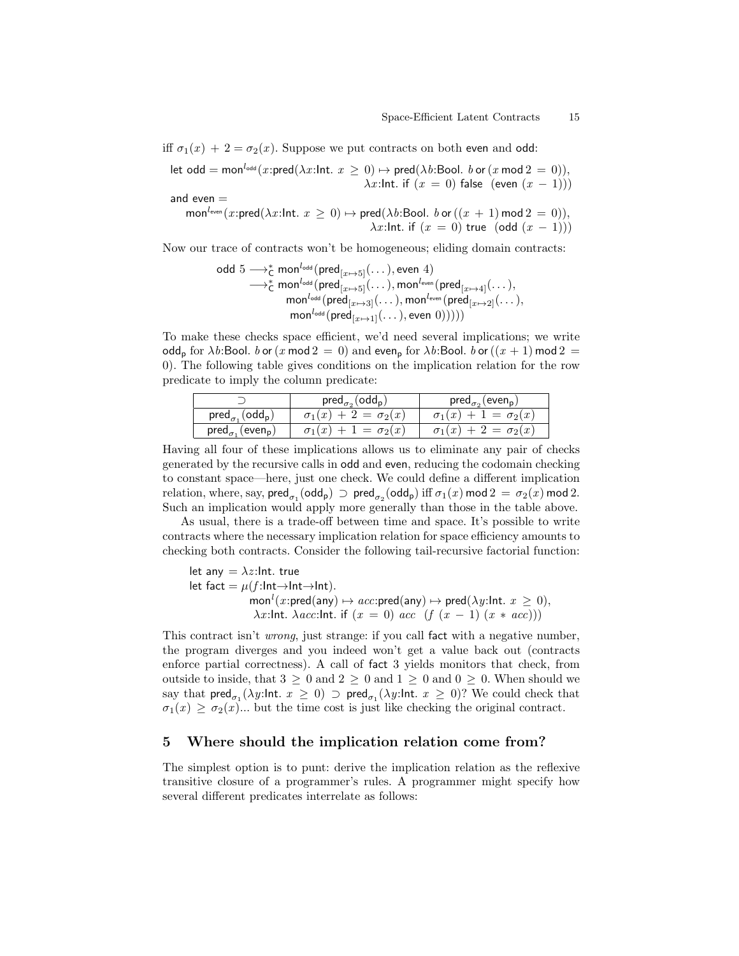iff  $\sigma_1(x) + 2 = \sigma_2(x)$ . Suppose we put contracts on both even and odd:

let odd = mon<sup>l<sub>odd</sub> (x:pred( $\lambda$ x:lnt.  $x \ge 0$ )  $\mapsto$  pred( $\lambda$ b:Bool. b or (x mod 2 = 0)),</sup>  $\lambda x$ :Int. if  $(x = 0)$  false (even  $(x - 1)$ )) and  $even =$ mon<sup>l<sub>even</sub>  $(x:\text{pred}(\lambda x:\text{Int. } x \ge 0) \mapsto \text{pred}(\lambda b:\text{Bool. } b \text{ or } ((x + 1) \text{ mod } 2 = 0)),$ </sup>  $\lambda x$ :Int. if  $(x = 0)$  true (odd  $(x - 1)$ ))

Now our trace of contracts won't be homogeneous; eliding domain contracts:

$$
\text{odd 5} \longrightarrow_{\mathsf{C}}^* \text{mon}^{l_{\text{odd}}}(\text{pred}_{[x \mapsto 5]}(\dots), \text{even 4})\\\longrightarrow_{\mathsf{C}}^* \text{mon}^{l_{\text{odd}}}(\text{pred}_{[x \mapsto 5]}(\dots), \text{mon}^{l_{\text{even}}}(\text{pred}_{[x \mapsto 4]}(\dots),\\ \text{mon}^{l_{\text{odd}}}(\text{pred}_{[x \mapsto 3]}(\dots), \text{mon}^{l_{\text{even}}}(\text{pred}_{[x \mapsto 2]}(\dots),\\ \text{mon}^{l_{\text{odd}}}(\text{pred}_{[x \mapsto 1]}(\dots), \text{even 0}))))))
$$

To make these checks space efficient, we'd need several implications; we write odd<sub>p</sub> for  $\lambda b$ :Bool. b or (x mod 2 = 0) and even<sub>p</sub> for  $\lambda b$ :Bool. b or ((x + 1) mod 2 = 0). The following table gives conditions on the implication relation for the row predicate to imply the column predicate:

|                                        | $pred_{\sigma_2}(odd_p)$             | $pred_{\sigma_2}(even_p)$       |
|----------------------------------------|--------------------------------------|---------------------------------|
| $pred_{\sigma_1}(odd_p)$               | $\sigma_1(x) + 2 = \sigma_2(x)$      | $\sigma_1(x) + 1 = \sigma_2(x)$ |
| $pred_{\sigma_1}$ (even <sub>p</sub> ) | $+ 1 = \sigma_2(x)$<br>$\sigma_1(x)$ | $\sigma_1(x) + 2 = \sigma_2(x)$ |

Having all four of these implications allows us to eliminate any pair of checks generated by the recursive calls in odd and even, reducing the codomain checking to constant space—here, just one check. We could define a different implication relation, where, say,  $\mathsf{pred}_{\sigma_1}(\mathsf{odd}_{\mathsf{p}}) \supset \mathsf{pred}_{\sigma_2}(\mathsf{odd}_{\mathsf{p}})$  iff  $\sigma_1(x)$  mod  $2 = \sigma_2(x)$  mod 2. Such an implication would apply more generally than those in the table above.

As usual, there is a trade-off between time and space. It's possible to write contracts where the necessary implication relation for space efficiency amounts to checking both contracts. Consider the following tail-recursive factorial function:

let any =  $\lambda z$ : Int. true let fact =  $\mu$ (*f*:lnt→Int→Int).  $\text{mon}^l(x \colon \text{pred}(\text{any}) \mapsto acc \colon \text{pred}(\text{any}) \mapsto \text{pred}(\lambda y \colon \text{Int.} \ x \geq 0),$  $\lambda x$ :Int.  $\lambda acc$ :Int. if  $(x = 0)$  acc  $(f (x - 1) (x * acc)))$ 

This contract isn't *wrong*, just strange: if you call fact with a negative number, the program diverges and you indeed won't get a value back out (contracts enforce partial correctness). A call of fact 3 yields monitors that check, from outside to inside, that  $3 \geq 0$  and  $2 \geq 0$  and  $1 \geq 0$  and  $0 \geq 0$ . When should we say that  $\mathsf{pred}_{\sigma_1}(\lambda y:\mathsf{Int.}\ x\ \ge\ 0)\ \supset\ \mathsf{pred}_{\sigma_1}(\lambda y:\mathsf{Int.}\ x\ \ge\ 0)?$  We could check that  $\sigma_1(x) \geq \sigma_2(x)$ ... but the time cost is just like checking the original contract.

### 5 Where should the implication relation come from?

The simplest option is to punt: derive the implication relation as the reflexive transitive closure of a programmer's rules. A programmer might specify how several different predicates interrelate as follows: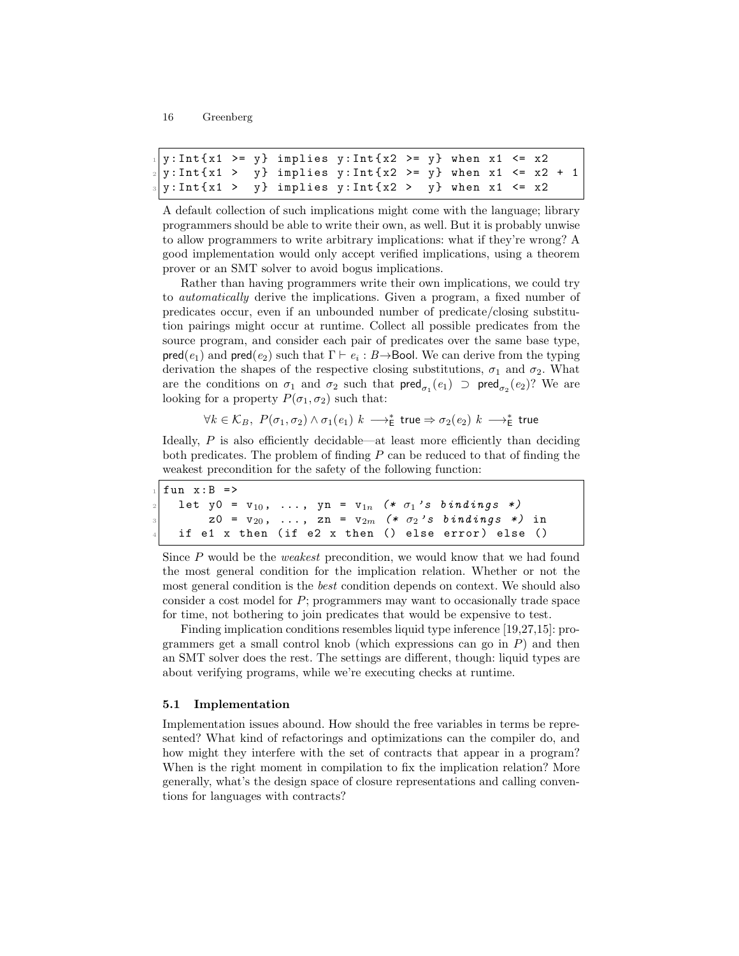|  |  | $_{1} $ y:Int{x1 >= y} implies y:Int{x2 >= y} when x1 <= x2                                        |  |  |  |  |
|--|--|----------------------------------------------------------------------------------------------------|--|--|--|--|
|  |  | $_2$  y:Int{x1 > y} implies y:Int{x2 >= y} when x1 <= x2 + 1                                       |  |  |  |  |
|  |  | $\left  y: \text{Int} \{x1 > y\} \right $ implies y: Int $\left\{x2 > y\right\}$ when $x1 \leq x2$ |  |  |  |  |

A default collection of such implications might come with the language; library programmers should be able to write their own, as well. But it is probably unwise to allow programmers to write arbitrary implications: what if they're wrong? A good implementation would only accept verified implications, using a theorem prover or an SMT solver to avoid bogus implications.

Rather than having programmers write their own implications, we could try to automatically derive the implications. Given a program, a fixed number of predicates occur, even if an unbounded number of predicate/closing substitution pairings might occur at runtime. Collect all possible predicates from the source program, and consider each pair of predicates over the same base type,  $\mathsf{pred}(e_1)$  and  $\mathsf{pred}(e_2)$  such that  $\Gamma \vdash e_i : B \rightarrow \mathsf{Bool}$ . We can derive from the typing derivation the shapes of the respective closing substitutions,  $\sigma_1$  and  $\sigma_2$ . What are the conditions on  $\sigma_1$  and  $\sigma_2$  such that  $\text{pred}_{\sigma_1}(e_1) \supset \text{pred}_{\sigma_2}(e_2)$ ? We are looking for a property  $P(\sigma_1, \sigma_2)$  such that:

$$
\forall k \in \mathcal{K}_B, \ P(\sigma_1, \sigma_2) \land \sigma_1(e_1) \ k \longrightarrow_{\mathsf{E}}^* \mathsf{true} \Rightarrow \sigma_2(e_2) \ k \longrightarrow_{\mathsf{E}}^* \mathsf{true}
$$

Ideally,  $P$  is also efficiently decidable—at least more efficiently than deciding both predicates. The problem of finding  $P$  can be reduced to that of finding the weakest precondition for the safety of the following function:

 $fun x : B \Rightarrow$ let y0 =  $v_{10}$ , ..., yn =  $v_{1n}$  (\*  $\sigma_1$ 's bindings \*)  $=$   $v_{20}$ , ..., zn =  $v_{2m}$  (\*  $\sigma_2$ 's bindings \*) in if e1 x then (if e2 x then () else error) else ()

Since P would be the weakest precondition, we would know that we had found the most general condition for the implication relation. Whether or not the most general condition is the best condition depends on context. We should also consider a cost model for P; programmers may want to occasionally trade space for time, not bothering to join predicates that would be expensive to test.

Finding implication conditions resembles liquid type inference [\[19](#page-19-12)[,27,](#page-19-13)[15\]](#page-19-14): programmers get a small control knob (which expressions can go in  $P$ ) and then an SMT solver does the rest. The settings are different, though: liquid types are about verifying programs, while we're executing checks at runtime.

#### 5.1 Implementation

Implementation issues abound. How should the free variables in terms be represented? What kind of refactorings and optimizations can the compiler do, and how might they interfere with the set of contracts that appear in a program? When is the right moment in compilation to fix the implication relation? More generally, what's the design space of closure representations and calling conventions for languages with contracts?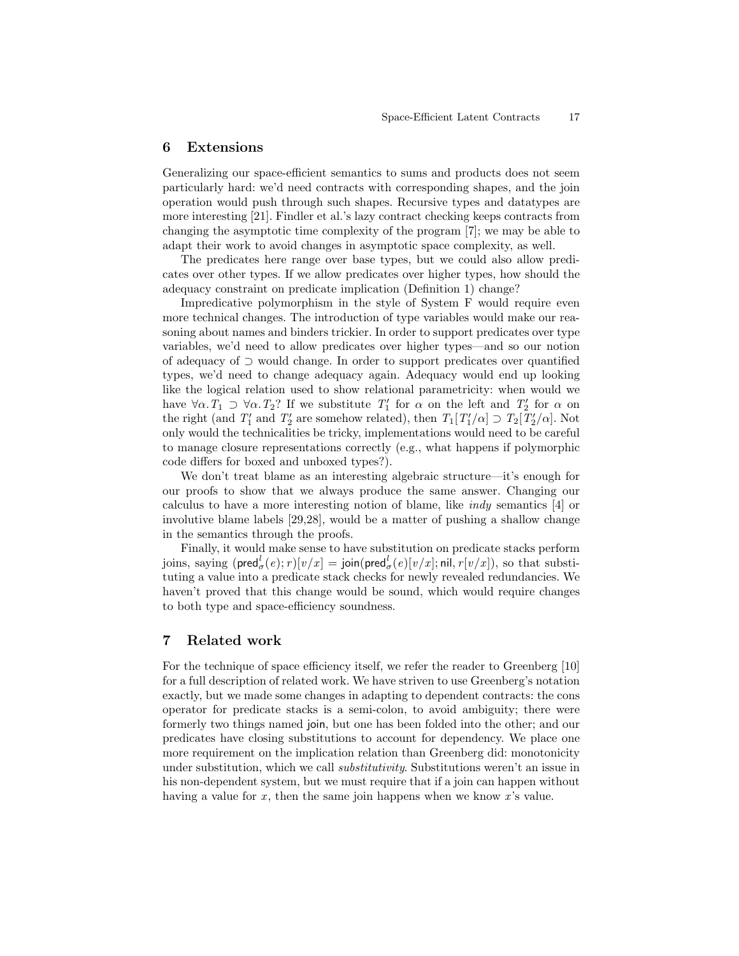### <span id="page-16-0"></span>6 Extensions

Generalizing our space-efficient semantics to sums and products does not seem particularly hard: we'd need contracts with corresponding shapes, and the join operation would push through such shapes. Recursive types and datatypes are more interesting [\[21\]](#page-19-15). Findler et al.'s lazy contract checking keeps contracts from changing the asymptotic time complexity of the program [\[7\]](#page-18-3); we may be able to adapt their work to avoid changes in asymptotic space complexity, as well.

The predicates here range over base types, but we could also allow predicates over other types. If we allow predicates over higher types, how should the adequacy constraint on predicate implication (Definition [1\)](#page-8-0) change?

Impredicative polymorphism in the style of System F would require even more technical changes. The introduction of type variables would make our reasoning about names and binders trickier. In order to support predicates over type variables, we'd need to allow predicates over higher types—and so our notion of adequacy of ⊃ would change. In order to support predicates over quantified types, we'd need to change adequacy again. Adequacy would end up looking like the logical relation used to show relational parametricity: when would we have  $\forall \alpha$ .  $T_1 \supset \forall \alpha$ .  $T_2$ ? If we substitute  $T'_1$  for  $\alpha$  on the left and  $T'_2$  for  $\alpha$  on the right (and  $T_1'$  and  $T_2'$  are somehow related), then  $T_1[T_1'/\alpha] \supset T_2[T_2'/\alpha]$ . Not only would the technicalities be tricky, implementations would need to be careful to manage closure representations correctly (e.g., what happens if polymorphic code differs for boxed and unboxed types?).

We don't treat blame as an interesting algebraic structure—it's enough for our proofs to show that we always produce the same answer. Changing our calculus to have a more interesting notion of blame, like indy semantics [\[4\]](#page-18-2) or involutive blame labels [\[29](#page-19-16)[,28\]](#page-19-17), would be a matter of pushing a shallow change in the semantics through the proofs.

Finally, it would make sense to have substitution on predicate stacks perform joins, saying  $(\mathsf{pred}^l_\sigma(e); r)[v/x] = \mathsf{join}(\mathsf{pred}^l_\sigma(e)[v/x]; \mathsf{nil}, r[v/x]),$  so that substituting a value into a predicate stack checks for newly revealed redundancies. We haven't proved that this change would be sound, which would require changes to both type and space-efficiency soundness.

# 7 Related work

For the technique of space efficiency itself, we refer the reader to Greenberg [\[10\]](#page-19-0) for a full description of related work. We have striven to use Greenberg's notation exactly, but we made some changes in adapting to dependent contracts: the cons operator for predicate stacks is a semi-colon, to avoid ambiguity; there were formerly two things named join, but one has been folded into the other; and our predicates have closing substitutions to account for dependency. We place one more requirement on the implication relation than Greenberg did: monotonicity under substitution, which we call *substitutivity*. Substitutions weren't an issue in his non-dependent system, but we must require that if a join can happen without having a value for  $x$ , then the same join happens when we know  $x$ 's value.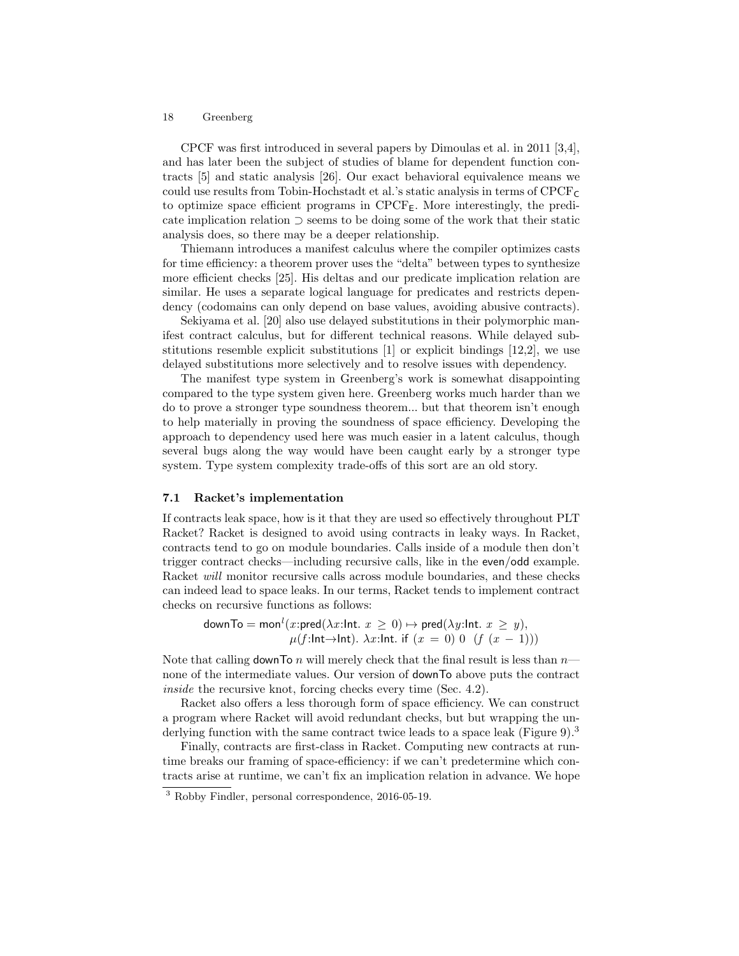CPCF was first introduced in several papers by Dimoulas et al. in 2011 [\[3,](#page-18-1)[4\]](#page-18-2), and has later been the subject of studies of blame for dependent function contracts [\[5\]](#page-18-4) and static analysis [\[26\]](#page-19-18). Our exact behavioral equivalence means we could use results from Tobin-Hochstadt et al.'s static analysis in terms of  $\text{CPCF}_{\text{C}}$ to optimize space efficient programs in CPCFE. More interestingly, the predicate implication relation ⊃ seems to be doing some of the work that their static analysis does, so there may be a deeper relationship.

Thiemann introduces a manifest calculus where the compiler optimizes casts for time efficiency: a theorem prover uses the "delta" between types to synthesize more efficient checks [\[25\]](#page-19-19). His deltas and our predicate implication relation are similar. He uses a separate logical language for predicates and restricts dependency (codomains can only depend on base values, avoiding abusive contracts).

Sekiyama et al. [\[20\]](#page-19-20) also use delayed substitutions in their polymorphic manifest contract calculus, but for different technical reasons. While delayed substitutions resemble explicit substitutions [\[1\]](#page-18-5) or explicit bindings [\[12,](#page-19-21)[2\]](#page-18-6), we use delayed substitutions more selectively and to resolve issues with dependency.

The manifest type system in Greenberg's work is somewhat disappointing compared to the type system given here. Greenberg works much harder than we do to prove a stronger type soundness theorem... but that theorem isn't enough to help materially in proving the soundness of space efficiency. Developing the approach to dependency used here was much easier in a latent calculus, though several bugs along the way would have been caught early by a stronger type system. Type system complexity trade-offs of this sort are an old story.

#### 7.1 Racket's implementation

If contracts leak space, how is it that they are used so effectively throughout PLT Racket? Racket is designed to avoid using contracts in leaky ways. In Racket, contracts tend to go on module boundaries. Calls inside of a module then don't trigger contract checks—including recursive calls, like in the even/odd example. Racket will monitor recursive calls across module boundaries, and these checks can indeed lead to space leaks. In our terms, Racket tends to implement contract checks on recursive functions as follows:

$$
\text{downTo} = \text{mon}^l(x: \text{pred}(\lambda x: \text{Int. } x \ge 0) \mapsto \text{pred}(\lambda y: \text{Int. } x \ge y),
$$
  

$$
\mu(f: \text{Int} \to \text{Int. } \lambda x: \text{Int. if } (x = 0) \cup (f (x - 1)))
$$

Note that calling down To n will merely check that the final result is less than  $n$ none of the intermediate values. Our version of downTo above puts the contract inside the recursive knot, forcing checks every time (Sec. [4.2\)](#page-13-0).

Racket also offers a less thorough form of space efficiency. We can construct a program where Racket will avoid redundant checks, but but wrapping the un-derlying function with the same contract twice leads to a space leak (Figure [9\)](#page-18-7).<sup>[3](#page-17-0)</sup>

Finally, contracts are first-class in Racket. Computing new contracts at runtime breaks our framing of space-efficiency: if we can't predetermine which contracts arise at runtime, we can't fix an implication relation in advance. We hope

<span id="page-17-0"></span><sup>3</sup> Robby Findler, personal correspondence, 2016-05-19.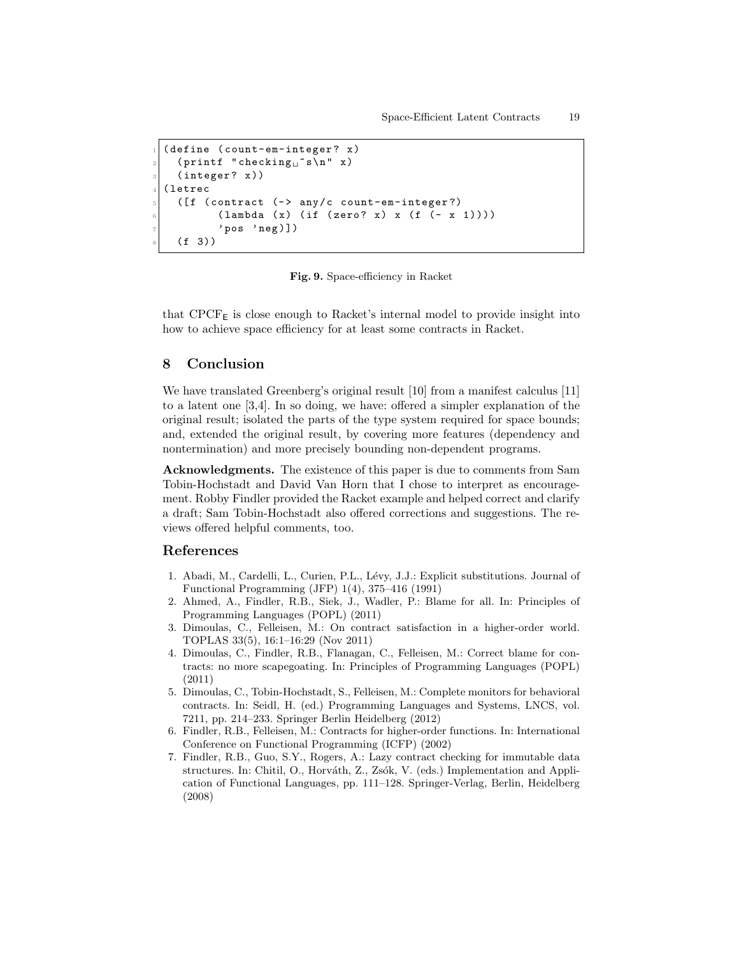```
(define (count-em-integer? x)
  (printf " checking<sub>u</sub>"s\n'u" x)(integer? x))
4 ( letrec
  ([f (contract (-& any/c count-em-integer?)(lambda ( x ) (if (zero? x) x (f (- x 1))))'pos 'neg)])
  (f 3)
```
<span id="page-18-7"></span>Fig. 9. Space-efficiency in Racket

that  $\text{CPCF}_E$  is close enough to Racket's internal model to provide insight into how to achieve space efficiency for at least some contracts in Racket.

## 8 Conclusion

We have translated Greenberg's original result [\[10\]](#page-19-0) from a manifest calculus [\[11\]](#page-19-10) to a latent one [\[3,](#page-18-1)[4\]](#page-18-2). In so doing, we have: offered a simpler explanation of the original result; isolated the parts of the type system required for space bounds; and, extended the original result, by covering more features (dependency and nontermination) and more precisely bounding non-dependent programs.

Acknowledgments. The existence of this paper is due to comments from Sam Tobin-Hochstadt and David Van Horn that I chose to interpret as encouragement. Robby Findler provided the Racket example and helped correct and clarify a draft; Sam Tobin-Hochstadt also offered corrections and suggestions. The reviews offered helpful comments, too.

### References

- <span id="page-18-5"></span>1. Abadi, M., Cardelli, L., Curien, P.L., L´evy, J.J.: Explicit substitutions. Journal of Functional Programming (JFP) 1(4), 375–416 (1991)
- <span id="page-18-6"></span>2. Ahmed, A., Findler, R.B., Siek, J., Wadler, P.: Blame for all. In: Principles of Programming Languages (POPL) (2011)
- <span id="page-18-1"></span>3. Dimoulas, C., Felleisen, M.: On contract satisfaction in a higher-order world. TOPLAS 33(5), 16:1–16:29 (Nov 2011)
- <span id="page-18-2"></span>4. Dimoulas, C., Findler, R.B., Flanagan, C., Felleisen, M.: Correct blame for contracts: no more scapegoating. In: Principles of Programming Languages (POPL) (2011)
- <span id="page-18-4"></span>5. Dimoulas, C., Tobin-Hochstadt, S., Felleisen, M.: Complete monitors for behavioral contracts. In: Seidl, H. (ed.) Programming Languages and Systems, LNCS, vol. 7211, pp. 214–233. Springer Berlin Heidelberg (2012)
- <span id="page-18-0"></span>6. Findler, R.B., Felleisen, M.: Contracts for higher-order functions. In: International Conference on Functional Programming (ICFP) (2002)
- <span id="page-18-3"></span>7. Findler, R.B., Guo, S.Y., Rogers, A.: Lazy contract checking for immutable data structures. In: Chitil, O., Horváth, Z., Zsók, V. (eds.) Implementation and Application of Functional Languages, pp. 111–128. Springer-Verlag, Berlin, Heidelberg (2008)